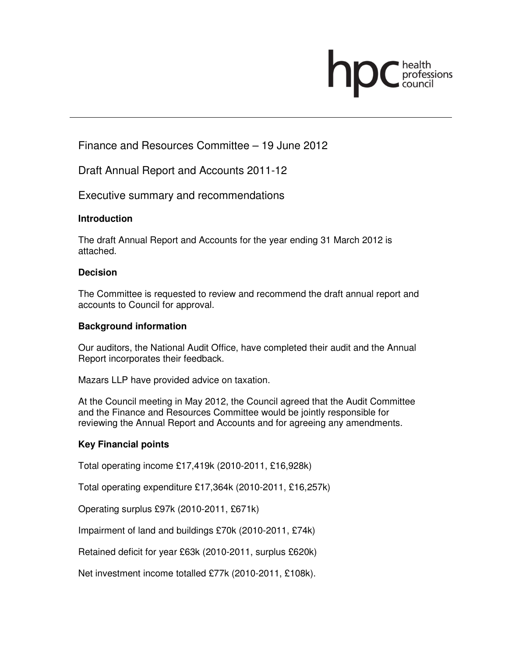

# Finance and Resources Committee – 19 June 2012

Draft Annual Report and Accounts 2011-12

Executive summary and recommendations

## **Introduction**

The draft Annual Report and Accounts for the year ending 31 March 2012 is attached.

## **Decision**

The Committee is requested to review and recommend the draft annual report and accounts to Council for approval.

### **Background information**

Our auditors, the National Audit Office, have completed their audit and the Annual Report incorporates their feedback.

Mazars LLP have provided advice on taxation.

At the Council meeting in May 2012, the Council agreed that the Audit Committee and the Finance and Resources Committee would be jointly responsible for reviewing the Annual Report and Accounts and for agreeing any amendments.

## **Key Financial points**

Total operating income £17,419k (2010-2011, £16,928k)

Total operating expenditure £17,364k (2010-2011, £16,257k)

Operating surplus £97k (2010-2011, £671k)

Impairment of land and buildings £70k (2010-2011, £74k)

Retained deficit for year £63k (2010-2011, surplus £620k)

Net investment income totalled £77k (2010-2011, £108k).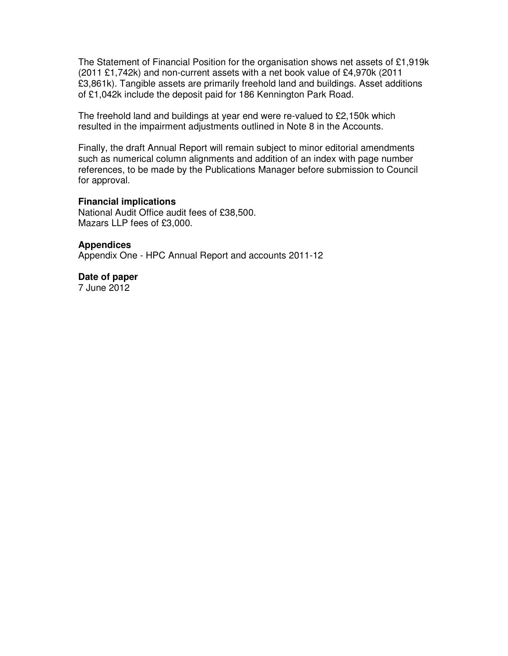The Statement of Financial Position for the organisation shows net assets of £1,919k (2011 £1,742k) and non-current assets with a net book value of £4,970k (2011 £3,861k). Tangible assets are primarily freehold land and buildings. Asset additions of £1,042k include the deposit paid for 186 Kennington Park Road.

The freehold land and buildings at year end were re-valued to £2,150k which resulted in the impairment adjustments outlined in Note 8 in the Accounts.

Finally, the draft Annual Report will remain subject to minor editorial amendments such as numerical column alignments and addition of an index with page number references, to be made by the Publications Manager before submission to Council for approval.

#### **Financial implications**

National Audit Office audit fees of £38,500. Mazars LLP fees of £3,000.

#### **Appendices**

Appendix One - HPC Annual Report and accounts 2011-12

#### **Date of paper**  7 June 2012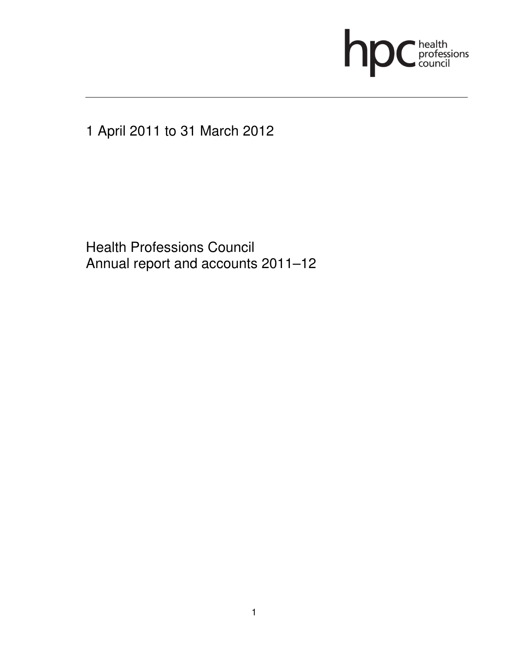

1 April 2011 to 31 March 2012

 Health Professions Council Annual report and accounts 2011–12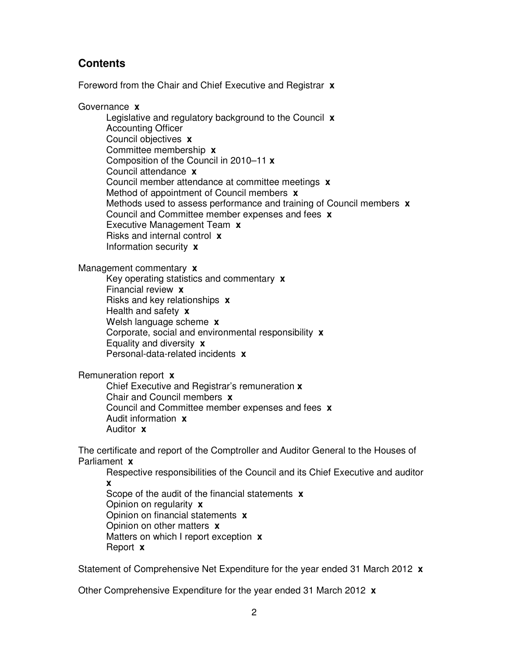## **Contents**

Foreword from the Chair and Chief Executive and Registrar **x**

Governance **x**

Legislative and regulatory background to the Council **x** Accounting Officer Council objectives **x** Committee membership **x**  Composition of the Council in 2010–11 **x**  Council attendance **x**  Council member attendance at committee meetings **x**  Method of appointment of Council members **x**  Methods used to assess performance and training of Council members **x**  Council and Committee member expenses and fees **x**  Executive Management Team **x**  Risks and internal control **x**  Information security **x** 

Management commentary **x**

Key operating statistics and commentary **x**  Financial review **x** Risks and key relationships **x**  Health and safety **x**  Welsh language scheme **x**  Corporate, social and environmental responsibility **x**  Equality and diversity **x**  Personal-data-related incidents **x** 

Remuneration report **x** 

Chief Executive and Registrar's remuneration **x**  Chair and Council members **x**  Council and Committee member expenses and fees **x**  Audit information **x**  Auditor **x** 

The certificate and report of the Comptroller and Auditor General to the Houses of Parliament **x** 

Respective responsibilities of the Council and its Chief Executive and auditor **x** 

Scope of the audit of the financial statements **x** Opinion on regularity **x** Opinion on financial statements **x** Opinion on other matters **x** Matters on which I report exception **x** Report **x** 

Statement of Comprehensive Net Expenditure for the year ended 31 March 2012 **x** 

Other Comprehensive Expenditure for the year ended 31 March 2012 **x**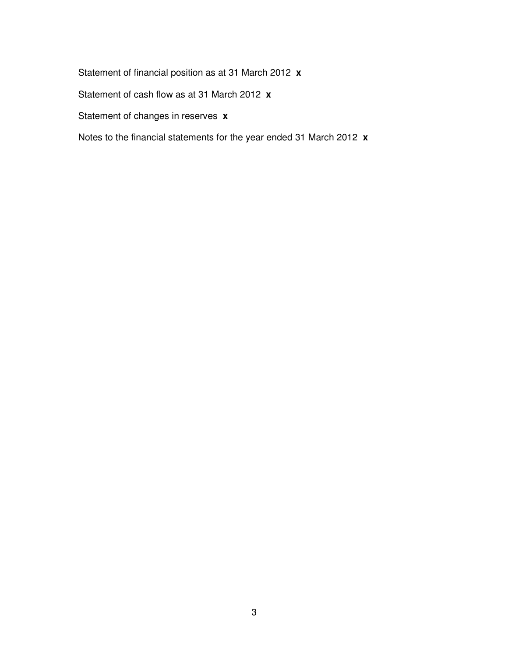Statement of financial position as at 31 March 2012 **x** 

Statement of cash flow as at 31 March 2012 **x** 

Statement of changes in reserves **x**

Notes to the financial statements for the year ended 31 March 2012 **x**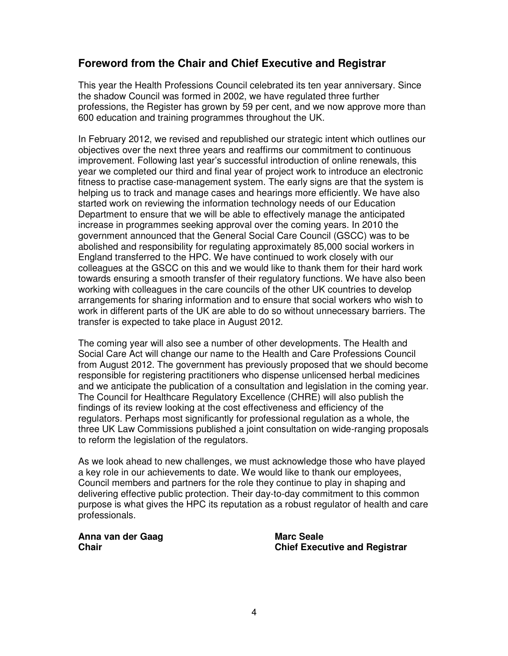# **Foreword from the Chair and Chief Executive and Registrar**

This year the Health Professions Council celebrated its ten year anniversary. Since the shadow Council was formed in 2002, we have regulated three further professions, the Register has grown by 59 per cent, and we now approve more than 600 education and training programmes throughout the UK.

In February 2012, we revised and republished our strategic intent which outlines our objectives over the next three years and reaffirms our commitment to continuous improvement. Following last year's successful introduction of online renewals, this year we completed our third and final year of project work to introduce an electronic fitness to practise case-management system. The early signs are that the system is helping us to track and manage cases and hearings more efficiently. We have also started work on reviewing the information technology needs of our Education Department to ensure that we will be able to effectively manage the anticipated increase in programmes seeking approval over the coming years. In 2010 the government announced that the General Social Care Council (GSCC) was to be abolished and responsibility for regulating approximately 85,000 social workers in England transferred to the HPC. We have continued to work closely with our colleagues at the GSCC on this and we would like to thank them for their hard work towards ensuring a smooth transfer of their regulatory functions. We have also been working with colleagues in the care councils of the other UK countries to develop arrangements for sharing information and to ensure that social workers who wish to work in different parts of the UK are able to do so without unnecessary barriers. The transfer is expected to take place in August 2012.

The coming year will also see a number of other developments. The Health and Social Care Act will change our name to the Health and Care Professions Council from August 2012. The government has previously proposed that we should become responsible for registering practitioners who dispense unlicensed herbal medicines and we anticipate the publication of a consultation and legislation in the coming year. The Council for Healthcare Regulatory Excellence (CHRE) will also publish the findings of its review looking at the cost effectiveness and efficiency of the regulators. Perhaps most significantly for professional regulation as a whole, the three UK Law Commissions published a joint consultation on wide-ranging proposals to reform the legislation of the regulators.

As we look ahead to new challenges, we must acknowledge those who have played a key role in our achievements to date. We would like to thank our employees, Council members and partners for the role they continue to play in shaping and delivering effective public protection. Their day-to-day commitment to this common purpose is what gives the HPC its reputation as a robust regulator of health and care professionals.

Anna van der Gaag **Marc Seale** Marc Seale

**Chair Chief Executive and Registrar**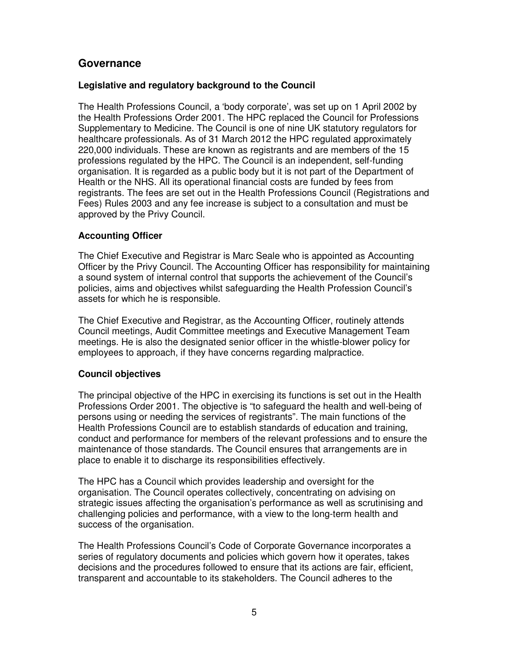# **Governance**

### **Legislative and regulatory background to the Council**

The Health Professions Council, a 'body corporate', was set up on 1 April 2002 by the Health Professions Order 2001. The HPC replaced the Council for Professions Supplementary to Medicine. The Council is one of nine UK statutory regulators for healthcare professionals. As of 31 March 2012 the HPC regulated approximately 220,000 individuals. These are known as registrants and are members of the 15 professions regulated by the HPC. The Council is an independent, self-funding organisation. It is regarded as a public body but it is not part of the Department of Health or the NHS. All its operational financial costs are funded by fees from registrants. The fees are set out in the Health Professions Council (Registrations and Fees) Rules 2003 and any fee increase is subject to a consultation and must be approved by the Privy Council.

#### **Accounting Officer**

The Chief Executive and Registrar is Marc Seale who is appointed as Accounting Officer by the Privy Council. The Accounting Officer has responsibility for maintaining a sound system of internal control that supports the achievement of the Council's policies, aims and objectives whilst safeguarding the Health Profession Council's assets for which he is responsible.

The Chief Executive and Registrar, as the Accounting Officer, routinely attends Council meetings, Audit Committee meetings and Executive Management Team meetings. He is also the designated senior officer in the whistle-blower policy for employees to approach, if they have concerns regarding malpractice.

#### **Council objectives**

The principal objective of the HPC in exercising its functions is set out in the Health Professions Order 2001. The objective is "to safeguard the health and well-being of persons using or needing the services of registrants". The main functions of the Health Professions Council are to establish standards of education and training, conduct and performance for members of the relevant professions and to ensure the maintenance of those standards. The Council ensures that arrangements are in place to enable it to discharge its responsibilities effectively.

The HPC has a Council which provides leadership and oversight for the organisation. The Council operates collectively, concentrating on advising on strategic issues affecting the organisation's performance as well as scrutinising and challenging policies and performance, with a view to the long-term health and success of the organisation.

The Health Professions Council's Code of Corporate Governance incorporates a series of regulatory documents and policies which govern how it operates, takes decisions and the procedures followed to ensure that its actions are fair, efficient, transparent and accountable to its stakeholders. The Council adheres to the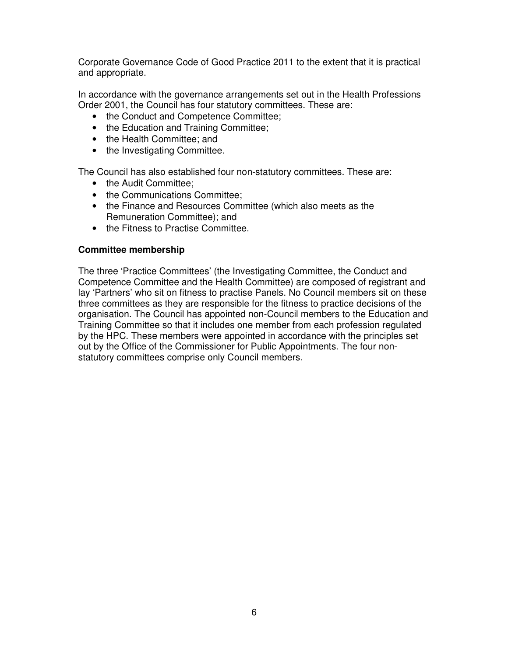Corporate Governance Code of Good Practice 2011 to the extent that it is practical and appropriate.

In accordance with the governance arrangements set out in the Health Professions Order 2001, the Council has four statutory committees. These are:

- the Conduct and Competence Committee;
- the Education and Training Committee;
- the Health Committee: and
- the Investigating Committee.

The Council has also established four non-statutory committees. These are:

- the Audit Committee:
- the Communications Committee:
- the Finance and Resources Committee (which also meets as the Remuneration Committee); and
- the Fitness to Practise Committee.

#### **Committee membership**

The three 'Practice Committees' (the Investigating Committee, the Conduct and Competence Committee and the Health Committee) are composed of registrant and lay 'Partners' who sit on fitness to practise Panels. No Council members sit on these three committees as they are responsible for the fitness to practice decisions of the organisation. The Council has appointed non-Council members to the Education and Training Committee so that it includes one member from each profession regulated by the HPC. These members were appointed in accordance with the principles set out by the Office of the Commissioner for Public Appointments. The four nonstatutory committees comprise only Council members.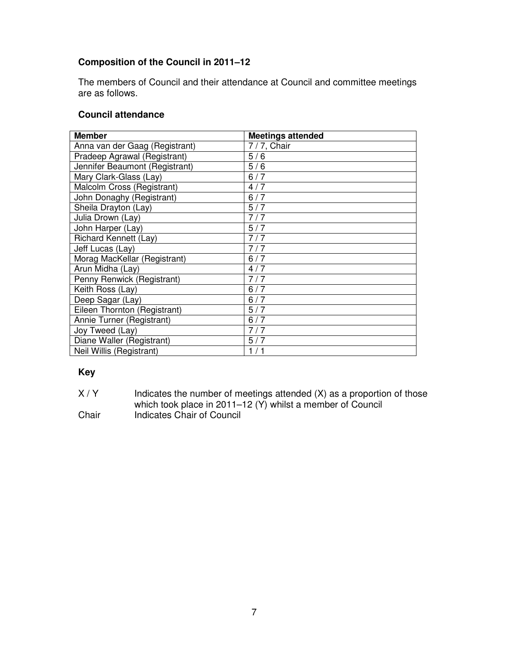# **Composition of the Council in 2011–12**

The members of Council and their attendance at Council and committee meetings are as follows.

## **Council attendance**

| <b>Member</b>                  | <b>Meetings attended</b> |
|--------------------------------|--------------------------|
| Anna van der Gaag (Registrant) | 7/7, Chair               |
| Pradeep Agrawal (Registrant)   | 5/6                      |
| Jennifer Beaumont (Registrant) | 5/6                      |
| Mary Clark-Glass (Lay)         | 6/7                      |
| Malcolm Cross (Registrant)     | 4/7                      |
| John Donaghy (Registrant)      | 6/7                      |
| Sheila Drayton (Lay)           | 5/7                      |
| Julia Drown (Lay)              | 7/7                      |
| John Harper (Lay)              | 5/7                      |
| Richard Kennett (Lay)          | 7/7                      |
| Jeff Lucas (Lay)               | 7/7                      |
| Morag MacKellar (Registrant)   | 6/7                      |
| Arun Midha (Lay)               | 4/7                      |
| Penny Renwick (Registrant)     | 7/7                      |
| Keith Ross (Lay)               | 6/7                      |
| Deep Sagar (Lay)               | 6/7                      |
| Eileen Thornton (Registrant)   | 5/7                      |
| Annie Turner (Registrant)      | 6/7                      |
| Joy Tweed (Lay)                | 7/7                      |
| Diane Waller (Registrant)      | 5/7                      |
| Neil Willis (Registrant)       | 1/1                      |

## **Key**

| X/Y   | Indicates the number of meetings attended (X) as a proportion of those |
|-------|------------------------------------------------------------------------|
|       | which took place in 2011–12 (Y) whilst a member of Council             |
| Chair | Indicates Chair of Council                                             |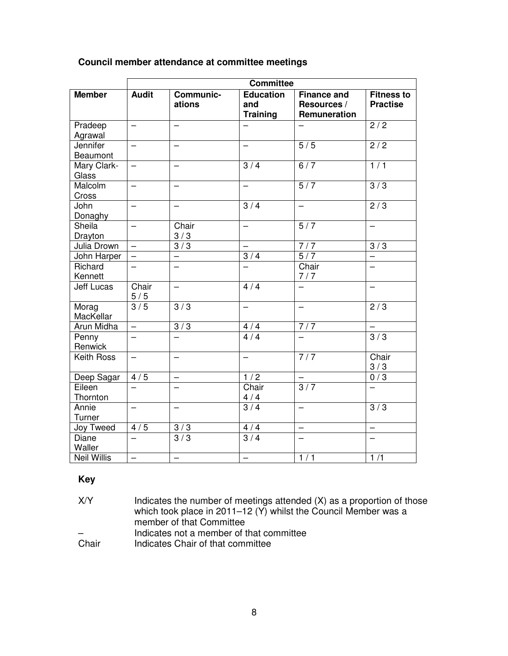| Council member attendance at committee meetings |  |  |
|-------------------------------------------------|--|--|
|-------------------------------------------------|--|--|

|                        | <b>Committee</b>         |                            |                                            |                                                   |                                      |
|------------------------|--------------------------|----------------------------|--------------------------------------------|---------------------------------------------------|--------------------------------------|
| <b>Member</b>          | <b>Audit</b>             | <b>Communic-</b><br>ations | <b>Education</b><br>and<br><b>Training</b> | <b>Finance and</b><br>Resources /<br>Remuneration | <b>Fitness to</b><br><b>Practise</b> |
| Pradeep<br>Agrawal     | $\overline{\phantom{0}}$ | $\overline{\phantom{0}}$   |                                            |                                                   | 2/2                                  |
| Jennifer<br>Beaumont   | $\overline{\phantom{0}}$ |                            |                                            | 5/5                                               | $\overline{2/2}$                     |
| Mary Clark-<br>Glass   | $\overline{\phantom{0}}$ | $\overline{\phantom{0}}$   | 3/4                                        | 6/7                                               | 1/1                                  |
| Malcolm<br>Cross       | $\equiv$                 |                            | $\overline{\phantom{0}}$                   | 5/7                                               | $\overline{3/3}$                     |
| John<br>Donaghy        | $\equiv$                 | $\overline{\phantom{0}}$   | $\overline{3/4}$                           | $\qquad \qquad -$                                 | $\sqrt{2/3}$                         |
| Sheila<br>Drayton      |                          | Chair<br>3/3               |                                            | $\overline{5/7}$                                  |                                      |
| Julia Drown            | $\equiv$                 | $\overline{3/3}$           |                                            | 7/7                                               | $\overline{3/3}$                     |
| John Harper            | $\overline{\phantom{0}}$ |                            | 3/4                                        | $\overline{5/7}$                                  |                                      |
| Richard<br>Kennett     |                          |                            |                                            | Chair<br>7/7                                      |                                      |
| <b>Jeff Lucas</b>      | Chair<br>5/5             | $\equiv$                   | 4/4                                        | $\overline{\phantom{0}}$                          |                                      |
| Morag<br>MacKellar     | 3/5                      | $\overline{3}/3$           |                                            | $\overline{\phantom{0}}$                          | $\overline{2/3}$                     |
| Arun Midha             | $\overline{\phantom{0}}$ | 3/3                        | 4/4                                        | 7/7                                               | $\overline{\phantom{0}}$             |
| Penny<br>Renwick       | $\overline{\phantom{0}}$ |                            | 4/4                                        | $\overline{\phantom{0}}$                          | 3/3                                  |
| <b>Keith Ross</b>      | $\overline{\phantom{0}}$ | $\overline{\phantom{0}}$   | -                                          | 7/7                                               | Chair<br>3/3                         |
| Deep Sagar             | 4/5                      | $\overline{\phantom{0}}$   | 1/2                                        | $\qquad \qquad -$                                 | 0/3                                  |
| Eileen<br>Thornton     | $\overline{\phantom{0}}$ |                            | Chair<br>4/4                               | 3/7                                               | $\overline{\phantom{0}}$             |
| Annie<br>Turner        | $\overline{\phantom{0}}$ |                            | 3/4                                        | $\overline{\phantom{0}}$                          | $\overline{3/3}$                     |
| Joy Tweed              | 4/5                      | $\overline{3}/3$           | 4/4                                        | $\overline{\phantom{0}}$                          | $\qquad \qquad -$                    |
| <b>Diane</b><br>Waller | $\overline{\phantom{0}}$ | 3/3                        | 3/4                                        | $\overline{\phantom{0}}$                          |                                      |
| <b>Neil Willis</b>     | $\overline{\phantom{0}}$ | $\overline{\phantom{0}}$   | -                                          | 1/1                                               | 1/1                                  |

## **Key**

X/Y Indicates the number of meetings attended (X) as a proportion of those which took place in 2011–12 (Y) whilst the Council Member was a member of that Committee – Indicates not a member of that committee<br>Chair lndicates Chair of that committee Indicates Chair of that committee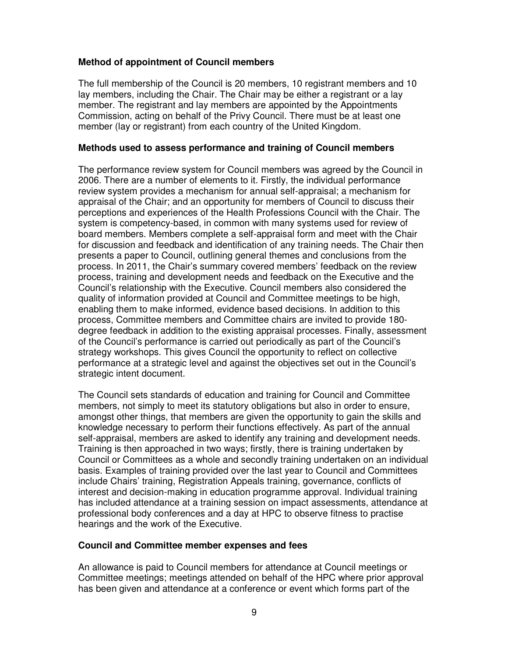### **Method of appointment of Council members**

The full membership of the Council is 20 members, 10 registrant members and 10 lay members, including the Chair. The Chair may be either a registrant or a lay member. The registrant and lay members are appointed by the Appointments Commission, acting on behalf of the Privy Council. There must be at least one member (lay or registrant) from each country of the United Kingdom.

#### **Methods used to assess performance and training of Council members**

The performance review system for Council members was agreed by the Council in 2006. There are a number of elements to it. Firstly, the individual performance review system provides a mechanism for annual self-appraisal; a mechanism for appraisal of the Chair; and an opportunity for members of Council to discuss their perceptions and experiences of the Health Professions Council with the Chair. The system is competency-based, in common with many systems used for review of board members. Members complete a self-appraisal form and meet with the Chair for discussion and feedback and identification of any training needs. The Chair then presents a paper to Council, outlining general themes and conclusions from the process. In 2011, the Chair's summary covered members' feedback on the review process, training and development needs and feedback on the Executive and the Council's relationship with the Executive. Council members also considered the quality of information provided at Council and Committee meetings to be high, enabling them to make informed, evidence based decisions. In addition to this process, Committee members and Committee chairs are invited to provide 180 degree feedback in addition to the existing appraisal processes. Finally, assessment of the Council's performance is carried out periodically as part of the Council's strategy workshops. This gives Council the opportunity to reflect on collective performance at a strategic level and against the objectives set out in the Council's strategic intent document.

The Council sets standards of education and training for Council and Committee members, not simply to meet its statutory obligations but also in order to ensure, amongst other things, that members are given the opportunity to gain the skills and knowledge necessary to perform their functions effectively. As part of the annual self-appraisal, members are asked to identify any training and development needs. Training is then approached in two ways; firstly, there is training undertaken by Council or Committees as a whole and secondly training undertaken on an individual basis. Examples of training provided over the last year to Council and Committees include Chairs' training, Registration Appeals training, governance, conflicts of interest and decision-making in education programme approval. Individual training has included attendance at a training session on impact assessments, attendance at professional body conferences and a day at HPC to observe fitness to practise hearings and the work of the Executive.

#### **Council and Committee member expenses and fees**

An allowance is paid to Council members for attendance at Council meetings or Committee meetings; meetings attended on behalf of the HPC where prior approval has been given and attendance at a conference or event which forms part of the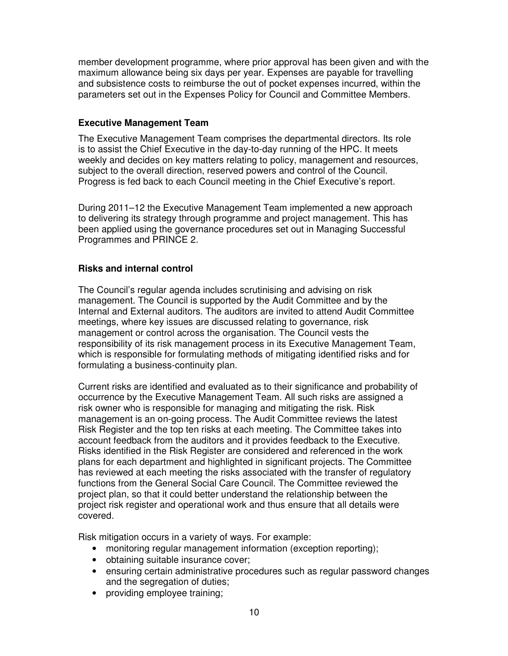member development programme, where prior approval has been given and with the maximum allowance being six days per year. Expenses are payable for travelling and subsistence costs to reimburse the out of pocket expenses incurred, within the parameters set out in the Expenses Policy for Council and Committee Members.

#### **Executive Management Team**

The Executive Management Team comprises the departmental directors. Its role is to assist the Chief Executive in the day-to-day running of the HPC. It meets weekly and decides on key matters relating to policy, management and resources, subject to the overall direction, reserved powers and control of the Council. Progress is fed back to each Council meeting in the Chief Executive's report.

During 2011–12 the Executive Management Team implemented a new approach to delivering its strategy through programme and project management. This has been applied using the governance procedures set out in Managing Successful Programmes and PRINCE 2.

## **Risks and internal control**

The Council's regular agenda includes scrutinising and advising on risk management. The Council is supported by the Audit Committee and by the Internal and External auditors. The auditors are invited to attend Audit Committee meetings, where key issues are discussed relating to governance, risk management or control across the organisation. The Council vests the responsibility of its risk management process in its Executive Management Team, which is responsible for formulating methods of mitigating identified risks and for formulating a business-continuity plan.

Current risks are identified and evaluated as to their significance and probability of occurrence by the Executive Management Team. All such risks are assigned a risk owner who is responsible for managing and mitigating the risk. Risk management is an on-going process. The Audit Committee reviews the latest Risk Register and the top ten risks at each meeting. The Committee takes into account feedback from the auditors and it provides feedback to the Executive. Risks identified in the Risk Register are considered and referenced in the work plans for each department and highlighted in significant projects. The Committee has reviewed at each meeting the risks associated with the transfer of regulatory functions from the General Social Care Council. The Committee reviewed the project plan, so that it could better understand the relationship between the project risk register and operational work and thus ensure that all details were covered.

Risk mitigation occurs in a variety of ways. For example:

- monitoring regular management information (exception reporting);
- obtaining suitable insurance cover;
- ensuring certain administrative procedures such as regular password changes and the segregation of duties;
- providing employee training;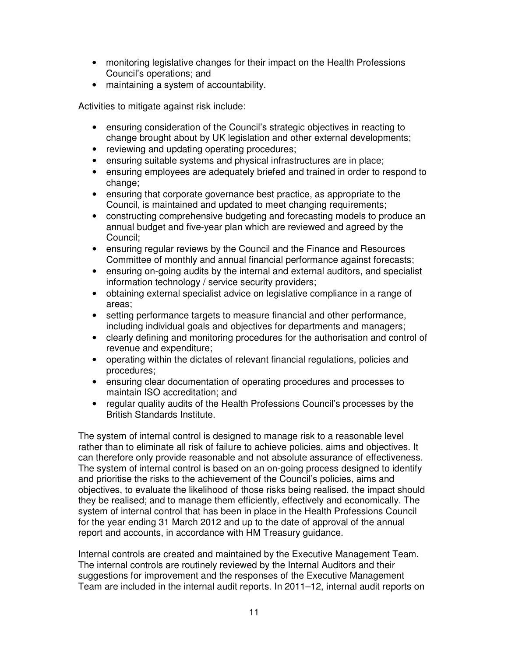- monitoring legislative changes for their impact on the Health Professions Council's operations; and
- maintaining a system of accountability.

Activities to mitigate against risk include:

- ensuring consideration of the Council's strategic objectives in reacting to change brought about by UK legislation and other external developments;
- reviewing and updating operating procedures;
- ensuring suitable systems and physical infrastructures are in place;
- ensuring employees are adequately briefed and trained in order to respond to change;
- ensuring that corporate governance best practice, as appropriate to the Council, is maintained and updated to meet changing requirements;
- constructing comprehensive budgeting and forecasting models to produce an annual budget and five-year plan which are reviewed and agreed by the Council;
- ensuring regular reviews by the Council and the Finance and Resources Committee of monthly and annual financial performance against forecasts;
- ensuring on-going audits by the internal and external auditors, and specialist information technology / service security providers;
- obtaining external specialist advice on legislative compliance in a range of areas;
- setting performance targets to measure financial and other performance, including individual goals and objectives for departments and managers;
- clearly defining and monitoring procedures for the authorisation and control of revenue and expenditure;
- operating within the dictates of relevant financial regulations, policies and procedures;
- ensuring clear documentation of operating procedures and processes to maintain ISO accreditation; and
- regular quality audits of the Health Professions Council's processes by the British Standards Institute.

The system of internal control is designed to manage risk to a reasonable level rather than to eliminate all risk of failure to achieve policies, aims and objectives. It can therefore only provide reasonable and not absolute assurance of effectiveness. The system of internal control is based on an on-going process designed to identify and prioritise the risks to the achievement of the Council's policies, aims and objectives, to evaluate the likelihood of those risks being realised, the impact should they be realised; and to manage them efficiently, effectively and economically. The system of internal control that has been in place in the Health Professions Council for the year ending 31 March 2012 and up to the date of approval of the annual report and accounts, in accordance with HM Treasury guidance.

Internal controls are created and maintained by the Executive Management Team. The internal controls are routinely reviewed by the Internal Auditors and their suggestions for improvement and the responses of the Executive Management Team are included in the internal audit reports. In 2011–12, internal audit reports on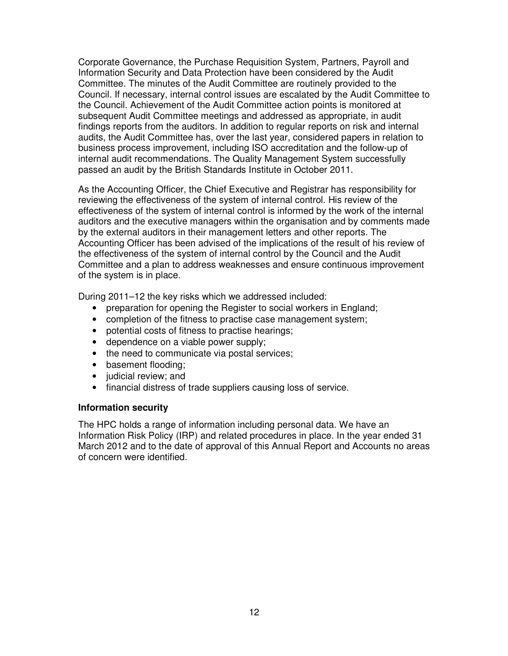Corporate Governance, the Purchase Requisition System, Partners, Payroll and Information Security and Data Protection have been considered by the Audit Committee. The minutes of the Audit Committee are routinely provided to the Council. If necessary, internal control issues are escalated by the Audit Committee to the Council. Achievement of the Audit Committee action points is monitored at subsequent Audit Committee meetings and addressed as appropriate, in audit findings reports from the auditors. In addition to regular reports on risk and internal audits, the Audit Committee has, over the last year, considered papers in relation to business process improvement, including ISO accreditation and the follow-up of internal audit recommendations. The Quality Management System successfully passed an audit by the British Standards Institute in October 2011.

As the Accounting Officer, the Chief Executive and Registrar has responsibility for reviewing the effectiveness of the system of internal control. His review of the effectiveness of the system of internal control is informed by the work of the internal auditors and the executive managers within the organisation and by comments made by the external auditors in their management letters and other reports. The Accounting Officer has been advised of the implications of the result of his review of the effectiveness of the system of internal control by the Council and the Audit Committee and a plan to address weaknesses and ensure continuous improvement of the system is in place.

During 2011–12 the key risks which we addressed included:

- preparation for opening the Register to social workers in England;
- completion of the fitness to practise case management system;
- potential costs of fitness to practise hearings;
- dependence on a viable power supply;
- the need to communicate via postal services;
- basement flooding;
- judicial review; and
- financial distress of trade suppliers causing loss of service.

#### **Information security**

The HPC holds a range of information including personal data. We have an Information Risk Policy (IRP) and related procedures in place. In the year ended 31 March 2012 and to the date of approval of this Annual Report and Accounts no areas of concern were identified.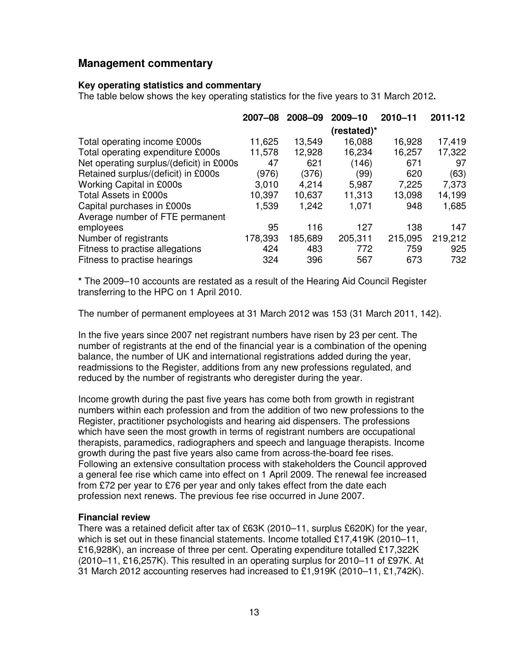## **Management commentary**

#### **Key operating statistics and commentary**

The table below shows the key operating statistics for the five years to 31 March 2012**.** 

|                                          | 2007-08 | 2008-09 | 2009-10     | $2010 - 11$ | 2011-12 |
|------------------------------------------|---------|---------|-------------|-------------|---------|
|                                          |         |         | (restated)* |             |         |
| Total operating income £000s             | 11,625  | 13,549  | 16,088      | 16,928      | 17,419  |
| Total operating expenditure £000s        | 11,578  | 12,928  | 16,234      | 16,257      | 17,322  |
| Net operating surplus/(deficit) in £000s | 47      | 621     | (146)       | 671         | 97      |
| Retained surplus/(deficit) in £000s      | (976)   | (376)   | (99)        | 620         | (63)    |
| Working Capital in £000s                 | 3.010   | 4,214   | 5,987       | 7,225       | 7,373   |
| Total Assets in £000s                    | 10,397  | 10,637  | 11,313      | 13,098      | 14,199  |
| Capital purchases in £000s               | 1,539   | 1,242   | 1,071       | 948         | 1,685   |
| Average number of FTE permanent          |         |         |             |             |         |
| employees                                | 95      | 116     | 127         | 138         | 147     |
| Number of registrants                    | 178,393 | 185,689 | 205,311     | 215,095     | 219,212 |
| Fitness to practise allegations          | 424     | 483     | 772         | 759         | 925     |
| Fitness to practise hearings             | 324     | 396     | 567         | 673         | 732     |

**\*** The 2009–10 accounts are restated as a result of the Hearing Aid Council Register transferring to the HPC on 1 April 2010.

The number of permanent employees at 31 March 2012 was 153 (31 March 2011, 142).

In the five years since 2007 net registrant numbers have risen by 23 per cent. The number of registrants at the end of the financial year is a combination of the opening balance, the number of UK and international registrations added during the year, readmissions to the Register, additions from any new professions regulated, and reduced by the number of registrants who deregister during the year.

Income growth during the past five years has come both from growth in registrant numbers within each profession and from the addition of two new professions to the Register, practitioner psychologists and hearing aid dispensers. The professions which have seen the most growth in terms of registrant numbers are occupational therapists, paramedics, radiographers and speech and language therapists. Income growth during the past five years also came from across-the-board fee rises. Following an extensive consultation process with stakeholders the Council approved a general fee rise which came into effect on 1 April 2009. The renewal fee increased from £72 per year to £76 per year and only takes effect from the date each profession next renews. The previous fee rise occurred in June 2007.

#### **Financial review**

There was a retained deficit after tax of £63K (2010–11, surplus £620K) for the year, which is set out in these financial statements. Income totalled £17,419K (2010–11, £16,928K), an increase of three per cent. Operating expenditure totalled £17,322K (2010–11, £16,257K). This resulted in an operating surplus for 2010–11 of £97K. At 31 March 2012 accounting reserves had increased to £1,919K (2010–11, £1,742K).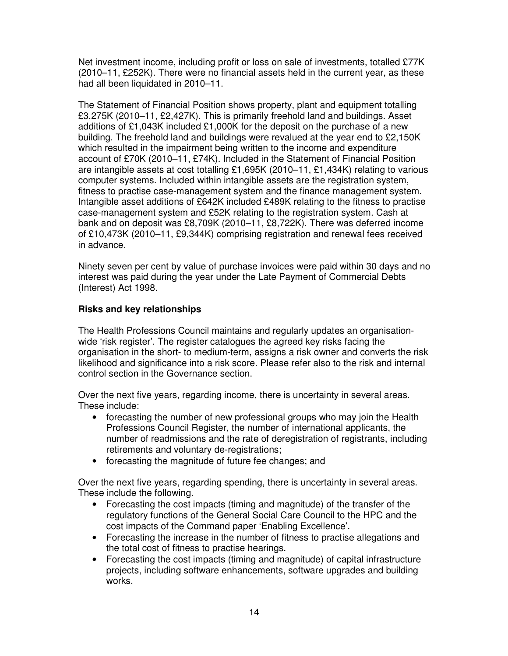Net investment income, including profit or loss on sale of investments, totalled £77K (2010–11, £252K). There were no financial assets held in the current year, as these had all been liquidated in 2010–11.

The Statement of Financial Position shows property, plant and equipment totalling £3,275K (2010–11, £2,427K). This is primarily freehold land and buildings. Asset additions of £1,043K included £1,000K for the deposit on the purchase of a new building. The freehold land and buildings were revalued at the year end to £2,150K which resulted in the impairment being written to the income and expenditure account of £70K (2010–11, £74K). Included in the Statement of Financial Position are intangible assets at cost totalling £1,695K (2010–11, £1,434K) relating to various computer systems. Included within intangible assets are the registration system, fitness to practise case-management system and the finance management system. Intangible asset additions of £642K included £489K relating to the fitness to practise case-management system and £52K relating to the registration system. Cash at bank and on deposit was £8,709K (2010–11, £8,722K). There was deferred income of £10,473K (2010–11, £9,344K) comprising registration and renewal fees received in advance.

Ninety seven per cent by value of purchase invoices were paid within 30 days and no interest was paid during the year under the Late Payment of Commercial Debts (Interest) Act 1998.

#### **Risks and key relationships**

The Health Professions Council maintains and regularly updates an organisationwide 'risk register'. The register catalogues the agreed key risks facing the organisation in the short- to medium-term, assigns a risk owner and converts the risk likelihood and significance into a risk score. Please refer also to the risk and internal control section in the Governance section.

Over the next five years, regarding income, there is uncertainty in several areas. These include:

- forecasting the number of new professional groups who may join the Health Professions Council Register, the number of international applicants, the number of readmissions and the rate of deregistration of registrants, including retirements and voluntary de-registrations;
- forecasting the magnitude of future fee changes; and

Over the next five years, regarding spending, there is uncertainty in several areas. These include the following.

- Forecasting the cost impacts (timing and magnitude) of the transfer of the regulatory functions of the General Social Care Council to the HPC and the cost impacts of the Command paper 'Enabling Excellence'.
- Forecasting the increase in the number of fitness to practise allegations and the total cost of fitness to practise hearings.
- Forecasting the cost impacts (timing and magnitude) of capital infrastructure projects, including software enhancements, software upgrades and building works.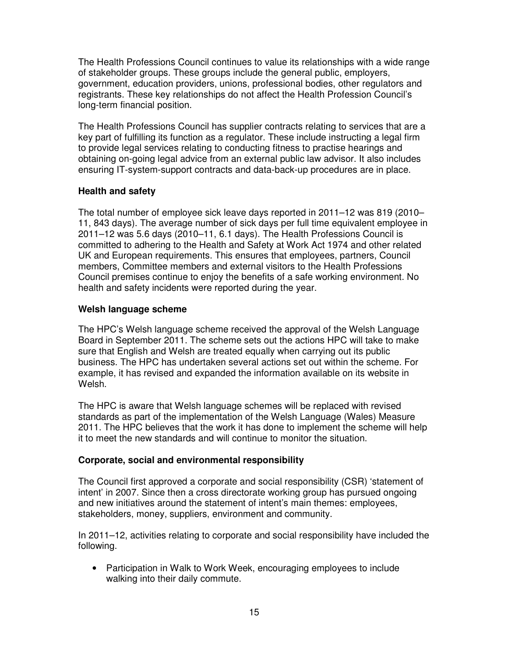The Health Professions Council continues to value its relationships with a wide range of stakeholder groups. These groups include the general public, employers, government, education providers, unions, professional bodies, other regulators and registrants. These key relationships do not affect the Health Profession Council's long-term financial position.

The Health Professions Council has supplier contracts relating to services that are a key part of fulfilling its function as a regulator. These include instructing a legal firm to provide legal services relating to conducting fitness to practise hearings and obtaining on-going legal advice from an external public law advisor. It also includes ensuring IT-system-support contracts and data-back-up procedures are in place.

## **Health and safety**

The total number of employee sick leave days reported in 2011–12 was 819 (2010– 11, 843 days). The average number of sick days per full time equivalent employee in 2011–12 was 5.6 days (2010–11, 6.1 days). The Health Professions Council is committed to adhering to the Health and Safety at Work Act 1974 and other related UK and European requirements. This ensures that employees, partners, Council members, Committee members and external visitors to the Health Professions Council premises continue to enjoy the benefits of a safe working environment. No health and safety incidents were reported during the year.

## **Welsh language scheme**

The HPC's Welsh language scheme received the approval of the Welsh Language Board in September 2011. The scheme sets out the actions HPC will take to make sure that English and Welsh are treated equally when carrying out its public business. The HPC has undertaken several actions set out within the scheme. For example, it has revised and expanded the information available on its website in Welsh.

The HPC is aware that Welsh language schemes will be replaced with revised standards as part of the implementation of the Welsh Language (Wales) Measure 2011. The HPC believes that the work it has done to implement the scheme will help it to meet the new standards and will continue to monitor the situation.

## **Corporate, social and environmental responsibility**

The Council first approved a corporate and social responsibility (CSR) 'statement of intent' in 2007. Since then a cross directorate working group has pursued ongoing and new initiatives around the statement of intent's main themes: employees, stakeholders, money, suppliers, environment and community.

In 2011–12, activities relating to corporate and social responsibility have included the following.

• Participation in Walk to Work Week, encouraging employees to include walking into their daily commute.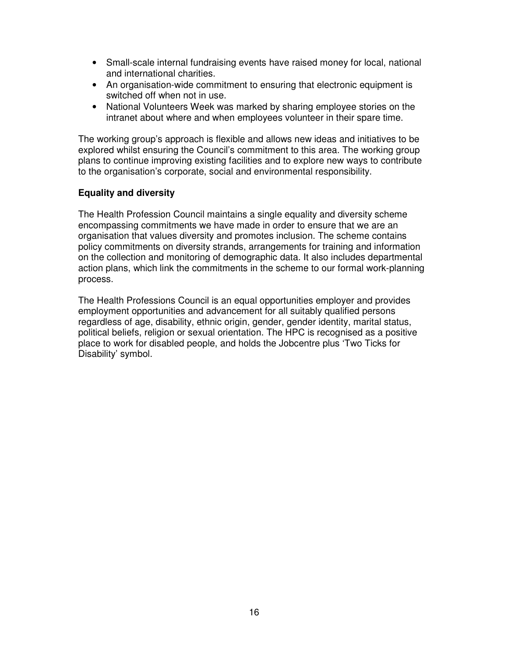- Small-scale internal fundraising events have raised money for local, national and international charities.
- An organisation-wide commitment to ensuring that electronic equipment is switched off when not in use.
- National Volunteers Week was marked by sharing employee stories on the intranet about where and when employees volunteer in their spare time.

The working group's approach is flexible and allows new ideas and initiatives to be explored whilst ensuring the Council's commitment to this area. The working group plans to continue improving existing facilities and to explore new ways to contribute to the organisation's corporate, social and environmental responsibility.

#### **Equality and diversity**

The Health Profession Council maintains a single equality and diversity scheme encompassing commitments we have made in order to ensure that we are an organisation that values diversity and promotes inclusion. The scheme contains policy commitments on diversity strands, arrangements for training and information on the collection and monitoring of demographic data. It also includes departmental action plans, which link the commitments in the scheme to our formal work-planning process.

The Health Professions Council is an equal opportunities employer and provides employment opportunities and advancement for all suitably qualified persons regardless of age, disability, ethnic origin, gender, gender identity, marital status, political beliefs, religion or sexual orientation. The HPC is recognised as a positive place to work for disabled people, and holds the Jobcentre plus 'Two Ticks for Disability' symbol.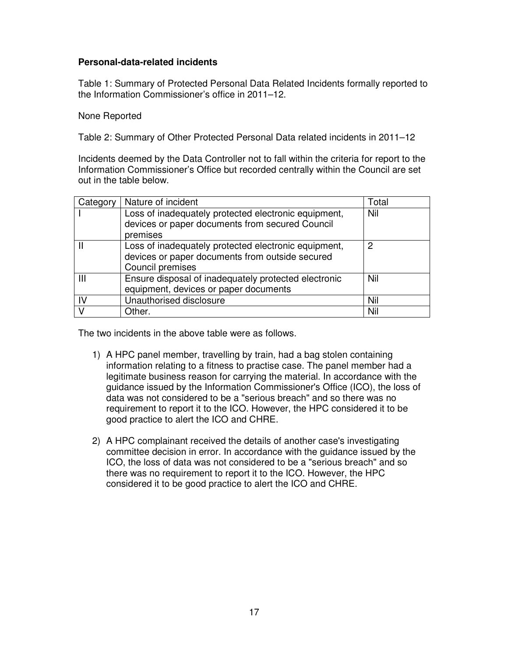#### **Personal-data-related incidents**

Table 1: Summary of Protected Personal Data Related Incidents formally reported to the Information Commissioner's office in 2011–12.

None Reported

Table 2: Summary of Other Protected Personal Data related incidents in 2011–12

Incidents deemed by the Data Controller not to fall within the criteria for report to the Information Commissioner's Office but recorded centrally within the Council are set out in the table below.

| Category  | Nature of incident                                                                                                          | Total |
|-----------|-----------------------------------------------------------------------------------------------------------------------------|-------|
|           | Loss of inadequately protected electronic equipment,                                                                        | Nil   |
|           | devices or paper documents from secured Council<br>premises                                                                 |       |
|           | Loss of inadequately protected electronic equipment,<br>devices or paper documents from outside secured<br>Council premises | 2     |
| Ш         | Ensure disposal of inadequately protected electronic<br>equipment, devices or paper documents                               | Nil   |
| <b>IV</b> | Unauthorised disclosure                                                                                                     | Nil   |
| $\vee$    | Other.                                                                                                                      | Nil   |

The two incidents in the above table were as follows.

- 1) A HPC panel member, travelling by train, had a bag stolen containing information relating to a fitness to practise case. The panel member had a legitimate business reason for carrying the material. In accordance with the guidance issued by the Information Commissioner's Office (ICO), the loss of data was not considered to be a "serious breach" and so there was no requirement to report it to the ICO. However, the HPC considered it to be good practice to alert the ICO and CHRE.
- 2) A HPC complainant received the details of another case's investigating committee decision in error. In accordance with the guidance issued by the ICO, the loss of data was not considered to be a "serious breach" and so there was no requirement to report it to the ICO. However, the HPC considered it to be good practice to alert the ICO and CHRE.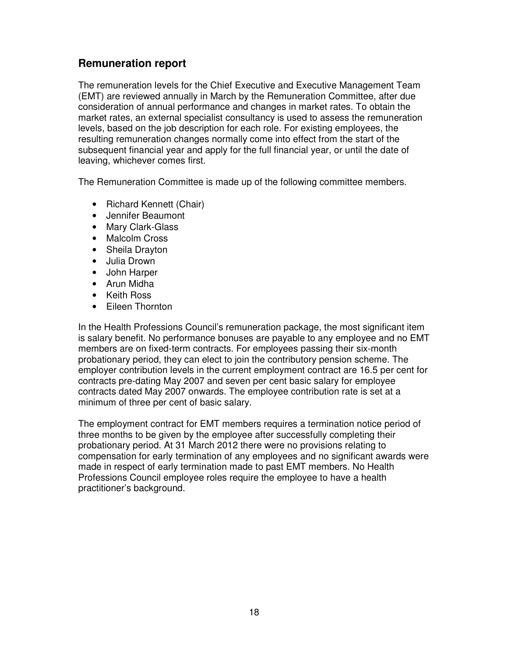# **Remuneration report**

The remuneration levels for the Chief Executive and Executive Management Team (EMT) are reviewed annually in March by the Remuneration Committee, after due consideration of annual performance and changes in market rates. To obtain the market rates, an external specialist consultancy is used to assess the remuneration levels, based on the job description for each role. For existing employees, the resulting remuneration changes normally come into effect from the start of the subsequent financial year and apply for the full financial year, or until the date of leaving, whichever comes first.

The Remuneration Committee is made up of the following committee members.

- Richard Kennett (Chair)
- Jennifer Beaumont
- Mary Clark-Glass
- Malcolm Cross
- Sheila Drayton
- Julia Drown
- John Harper
- Arun Midha
- Keith Ross
- Eileen Thornton

In the Health Professions Council's remuneration package, the most significant item is salary benefit. No performance bonuses are payable to any employee and no EMT members are on fixed-term contracts. For employees passing their six-month probationary period, they can elect to join the contributory pension scheme. The employer contribution levels in the current employment contract are 16.5 per cent for contracts pre-dating May 2007 and seven per cent basic salary for employee contracts dated May 2007 onwards. The employee contribution rate is set at a minimum of three per cent of basic salary.

The employment contract for EMT members requires a termination notice period of three months to be given by the employee after successfully completing their probationary period. At 31 March 2012 there were no provisions relating to compensation for early termination of any employees and no significant awards were made in respect of early termination made to past EMT members. No Health Professions Council employee roles require the employee to have a health practitioner's background.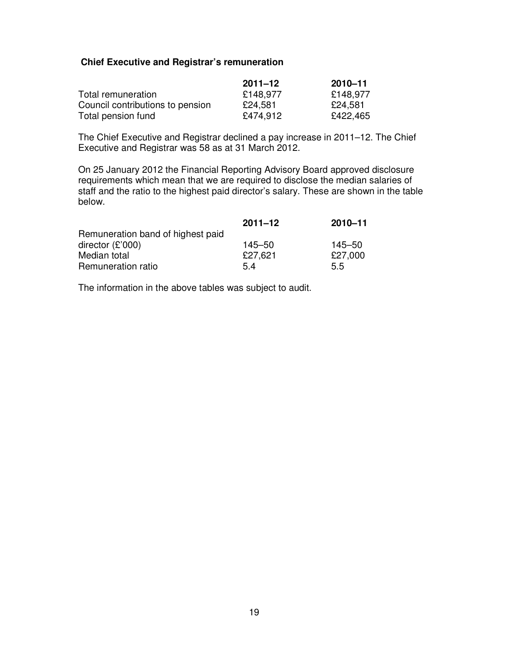#### **Chief Executive and Registrar's remuneration**

|                                  | $2011 - 12$ | 2010-11  |
|----------------------------------|-------------|----------|
| Total remuneration               | £148,977    | £148,977 |
| Council contributions to pension | £24,581     | £24,581  |
| Total pension fund               | £474,912    | £422,465 |

The Chief Executive and Registrar declined a pay increase in 2011–12. The Chief Executive and Registrar was 58 as at 31 March 2012.

On 25 January 2012 the Financial Reporting Advisory Board approved disclosure requirements which mean that we are required to disclose the median salaries of staff and the ratio to the highest paid director's salary. These are shown in the table below.

|                                   | $2011 - 12$ | $2010 - 11$ |
|-----------------------------------|-------------|-------------|
| Remuneration band of highest paid |             |             |
| director $(E'000)$                | $145 - 50$  | 145–50      |
| Median total                      | £27,621     | £27,000     |
| Remuneration ratio                | 5.4         | 5.5         |

The information in the above tables was subject to audit.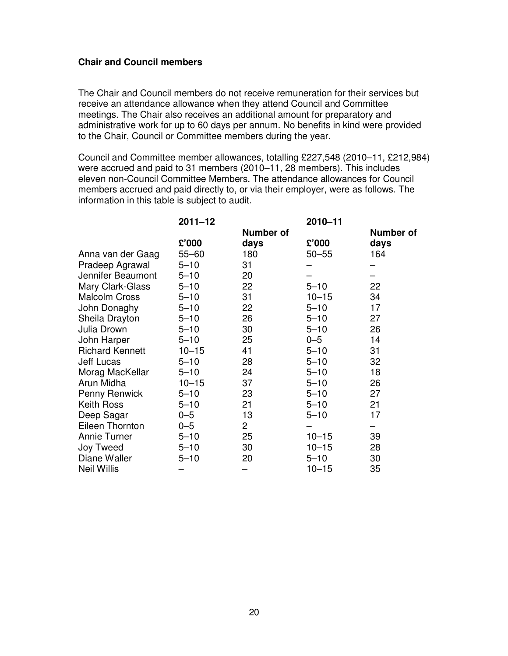#### **Chair and Council members**

The Chair and Council members do not receive remuneration for their services but receive an attendance allowance when they attend Council and Committee meetings. The Chair also receives an additional amount for preparatory and administrative work for up to 60 days per annum. No benefits in kind were provided to the Chair, Council or Committee members during the year.

Council and Committee member allowances, totalling £227,548 (2010–11, £212,984) were accrued and paid to 31 members (2010–11, 28 members). This includes eleven non-Council Committee Members. The attendance allowances for Council members accrued and paid directly to, or via their employer, were as follows. The information in this table is subject to audit.

|                        | $2011 - 12$ |                  | 2010-11   |                  |
|------------------------|-------------|------------------|-----------|------------------|
|                        |             | <b>Number of</b> |           | <b>Number of</b> |
|                        | £'000       | days             | £'000     | days             |
| Anna van der Gaag      | $55 - 60$   | 180              | $50 - 55$ | 164              |
| Pradeep Agrawal        | $5 - 10$    | 31               |           |                  |
| Jennifer Beaumont      | $5 - 10$    | 20               |           |                  |
| Mary Clark-Glass       | $5 - 10$    | 22               | $5 - 10$  | 22               |
| <b>Malcolm Cross</b>   | $5 - 10$    | 31               | $10 - 15$ | 34               |
| John Donaghy           | $5 - 10$    | 22               | $5 - 10$  | 17               |
| Sheila Drayton         | $5 - 10$    | 26               | $5 - 10$  | 27               |
| Julia Drown            | $5 - 10$    | 30               | $5 - 10$  | 26               |
| John Harper            | $5 - 10$    | 25               | $0 - 5$   | 14               |
| <b>Richard Kennett</b> | $10 - 15$   | 41               | $5 - 10$  | 31               |
| Jeff Lucas             | $5 - 10$    | 28               | $5 - 10$  | 32               |
| Morag MacKellar        | $5 - 10$    | 24               | $5 - 10$  | 18               |
| Arun Midha             | $10 - 15$   | 37               | $5 - 10$  | 26               |
| Penny Renwick          | $5 - 10$    | 23               | $5 - 10$  | 27               |
| Keith Ross             | $5 - 10$    | 21               | $5 - 10$  | 21               |
| Deep Sagar             | $0 - 5$     | 13               | $5 - 10$  | 17               |
| Eileen Thornton        | $0 - 5$     | $\mathbf{2}$     |           |                  |
| <b>Annie Turner</b>    | $5 - 10$    | 25               | $10 - 15$ | 39               |
| Joy Tweed              | $5 - 10$    | 30               | $10 - 15$ | 28               |
| Diane Waller           | $5 - 10$    | 20               | $5 - 10$  | 30               |
| <b>Neil Willis</b>     |             |                  | $10 - 15$ | 35               |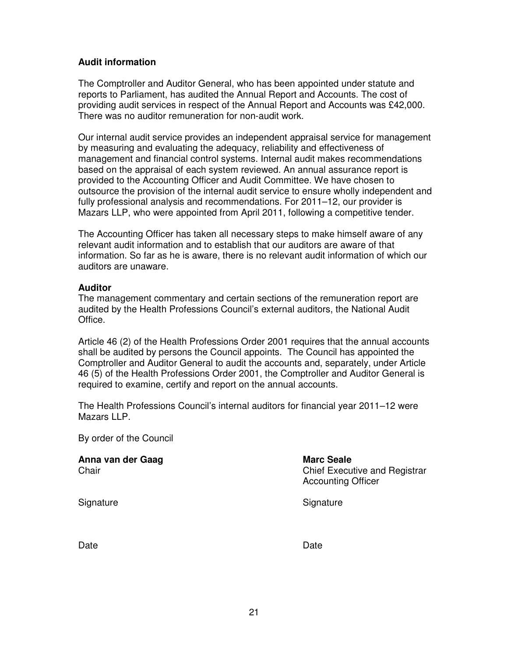### **Audit information**

The Comptroller and Auditor General, who has been appointed under statute and reports to Parliament, has audited the Annual Report and Accounts. The cost of providing audit services in respect of the Annual Report and Accounts was £42,000. There was no auditor remuneration for non-audit work.

Our internal audit service provides an independent appraisal service for management by measuring and evaluating the adequacy, reliability and effectiveness of management and financial control systems. Internal audit makes recommendations based on the appraisal of each system reviewed. An annual assurance report is provided to the Accounting Officer and Audit Committee. We have chosen to outsource the provision of the internal audit service to ensure wholly independent and fully professional analysis and recommendations. For 2011–12, our provider is Mazars LLP, who were appointed from April 2011, following a competitive tender.

The Accounting Officer has taken all necessary steps to make himself aware of any relevant audit information and to establish that our auditors are aware of that information. So far as he is aware, there is no relevant audit information of which our auditors are unaware.

#### **Auditor**

The management commentary and certain sections of the remuneration report are audited by the Health Professions Council's external auditors, the National Audit Office.

Article 46 (2) of the Health Professions Order 2001 requires that the annual accounts shall be audited by persons the Council appoints. The Council has appointed the Comptroller and Auditor General to audit the accounts and, separately, under Article 46 (5) of the Health Professions Order 2001, the Comptroller and Auditor General is required to examine, certify and report on the annual accounts.

The Health Professions Council's internal auditors for financial year 2011–12 were Mazars LLP.

By order of the Council

Anna van der Gaag **Marc Seale** Marc Seale Chair Chair Chair Chief Executive and Registrar Accounting Officer Signature Signature Signature Signature Signature Signature Signature Signature Signature Signature Signature Signature Signature Signature Signature Signature Signature Signature Signature Signature Signature Signature Si

Date **Date Date Date Date Date Date**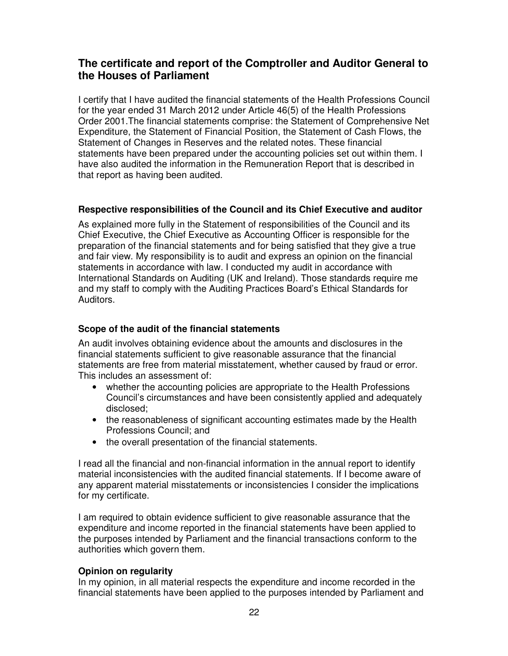# **The certificate and report of the Comptroller and Auditor General to the Houses of Parliament**

I certify that I have audited the financial statements of the Health Professions Council for the year ended 31 March 2012 under Article 46(5) of the Health Professions Order 2001.The financial statements comprise: the Statement of Comprehensive Net Expenditure, the Statement of Financial Position, the Statement of Cash Flows, the Statement of Changes in Reserves and the related notes. These financial statements have been prepared under the accounting policies set out within them. I have also audited the information in the Remuneration Report that is described in that report as having been audited.

#### **Respective responsibilities of the Council and its Chief Executive and auditor**

As explained more fully in the Statement of responsibilities of the Council and its Chief Executive, the Chief Executive as Accounting Officer is responsible for the preparation of the financial statements and for being satisfied that they give a true and fair view. My responsibility is to audit and express an opinion on the financial statements in accordance with law. I conducted my audit in accordance with International Standards on Auditing (UK and Ireland). Those standards require me and my staff to comply with the Auditing Practices Board's Ethical Standards for Auditors.

### **Scope of the audit of the financial statements**

An audit involves obtaining evidence about the amounts and disclosures in the financial statements sufficient to give reasonable assurance that the financial statements are free from material misstatement, whether caused by fraud or error. This includes an assessment of:

- whether the accounting policies are appropriate to the Health Professions Council's circumstances and have been consistently applied and adequately disclosed;
- the reasonableness of significant accounting estimates made by the Health Professions Council; and
- the overall presentation of the financial statements.

I read all the financial and non-financial information in the annual report to identify material inconsistencies with the audited financial statements. If I become aware of any apparent material misstatements or inconsistencies I consider the implications for my certificate.

I am required to obtain evidence sufficient to give reasonable assurance that the expenditure and income reported in the financial statements have been applied to the purposes intended by Parliament and the financial transactions conform to the authorities which govern them.

#### **Opinion on regularity**

In my opinion, in all material respects the expenditure and income recorded in the financial statements have been applied to the purposes intended by Parliament and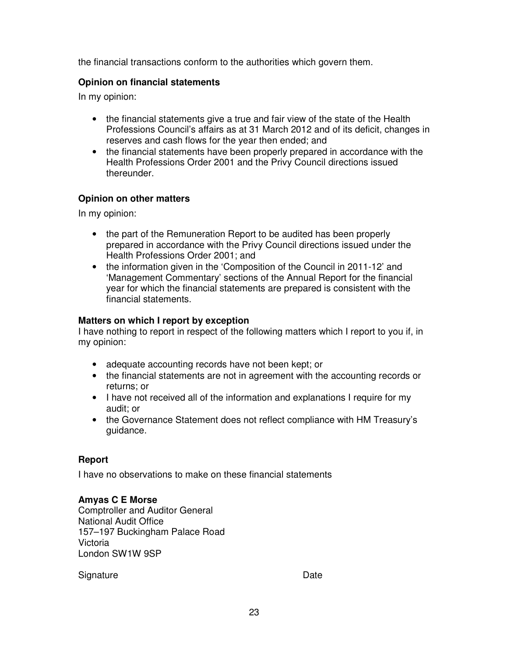the financial transactions conform to the authorities which govern them.

#### **Opinion on financial statements**

In my opinion:

- the financial statements give a true and fair view of the state of the Health Professions Council's affairs as at 31 March 2012 and of its deficit, changes in reserves and cash flows for the year then ended; and
- the financial statements have been properly prepared in accordance with the Health Professions Order 2001 and the Privy Council directions issued thereunder.

#### **Opinion on other matters**

In my opinion:

- the part of the Remuneration Report to be audited has been properly prepared in accordance with the Privy Council directions issued under the Health Professions Order 2001; and
- the information given in the 'Composition of the Council in 2011-12' and 'Management Commentary' sections of the Annual Report for the financial year for which the financial statements are prepared is consistent with the financial statements.

#### **Matters on which I report by exception**

I have nothing to report in respect of the following matters which I report to you if, in my opinion:

- adequate accounting records have not been kept; or
- the financial statements are not in agreement with the accounting records or returns; or
- I have not received all of the information and explanations I require for my audit; or
- the Governance Statement does not reflect compliance with HM Treasury's guidance.

#### **Report**

I have no observations to make on these financial statements

#### **Amyas C E Morse**

Comptroller and Auditor General National Audit Office 157–197 Buckingham Palace Road Victoria London SW1W 9SP

Signature Date Date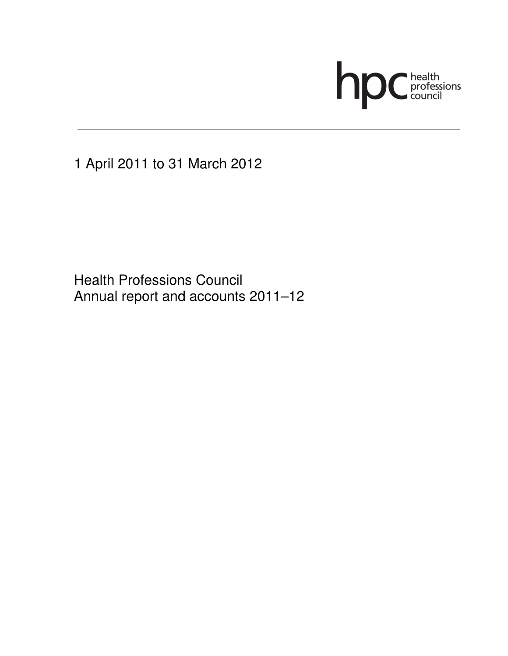

1 April 2011 to 31 March 2012

 Health Professions Council Annual report and accounts 2011–12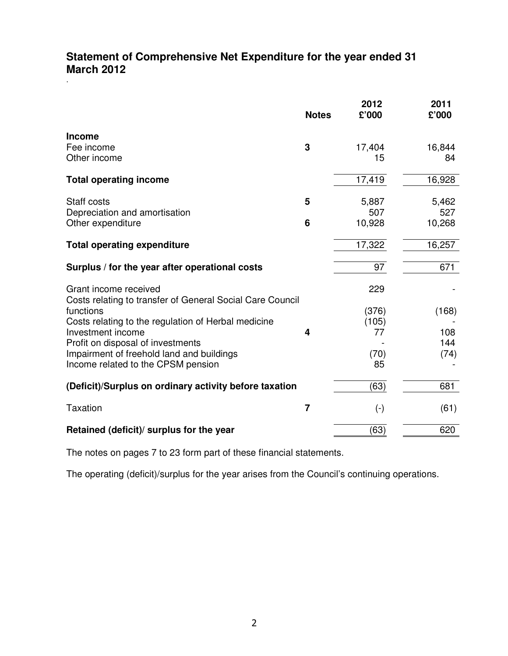# **Statement of Comprehensive Net Expenditure for the year ended 31 March 2012**

|                                                                                                                                                                                                                                                                                                     | <b>Notes</b> | 2012<br>£'000                             | 2011<br>£'000               |
|-----------------------------------------------------------------------------------------------------------------------------------------------------------------------------------------------------------------------------------------------------------------------------------------------------|--------------|-------------------------------------------|-----------------------------|
| <b>Income</b><br>Fee income<br>Other income                                                                                                                                                                                                                                                         | 3            | 17,404<br>15                              | 16,844<br>84                |
| <b>Total operating income</b>                                                                                                                                                                                                                                                                       |              | 17,419                                    | 16,928                      |
| Staff costs<br>Depreciation and amortisation<br>Other expenditure                                                                                                                                                                                                                                   | 5<br>6       | 5,887<br>507<br>10,928                    | 5,462<br>527<br>10,268      |
| <b>Total operating expenditure</b>                                                                                                                                                                                                                                                                  |              | 17,322                                    | 16,257                      |
| Surplus / for the year after operational costs                                                                                                                                                                                                                                                      |              | 97                                        | 671                         |
| Grant income received<br>Costs relating to transfer of General Social Care Council<br>functions<br>Costs relating to the regulation of Herbal medicine<br>Investment income<br>Profit on disposal of investments<br>Impairment of freehold land and buildings<br>Income related to the CPSM pension | 4            | 229<br>(376)<br>(105)<br>77<br>(70)<br>85 | (168)<br>108<br>144<br>(74) |
| (Deficit)/Surplus on ordinary activity before taxation                                                                                                                                                                                                                                              |              | (63)                                      | 681                         |
| <b>Taxation</b>                                                                                                                                                                                                                                                                                     | 7            | $(\textnormal{-})$                        | (61)                        |
| Retained (deficit)/ surplus for the year                                                                                                                                                                                                                                                            |              | (63)                                      | 620                         |

The notes on pages 7 to 23 form part of these financial statements.

The operating (deficit)/surplus for the year arises from the Council's continuing operations.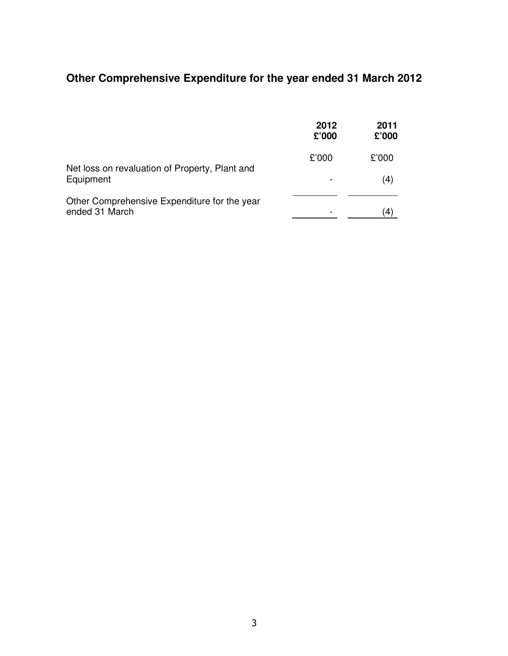# **Other Comprehensive Expenditure for the year ended 31 March 2012**

|                                                                | 2012<br>£'000 | 2011<br>£'000 |
|----------------------------------------------------------------|---------------|---------------|
|                                                                | £'000         | £'000         |
| Net loss on revaluation of Property, Plant and<br>Equipment    |               | (4)           |
| Other Comprehensive Expenditure for the year<br>ended 31 March |               |               |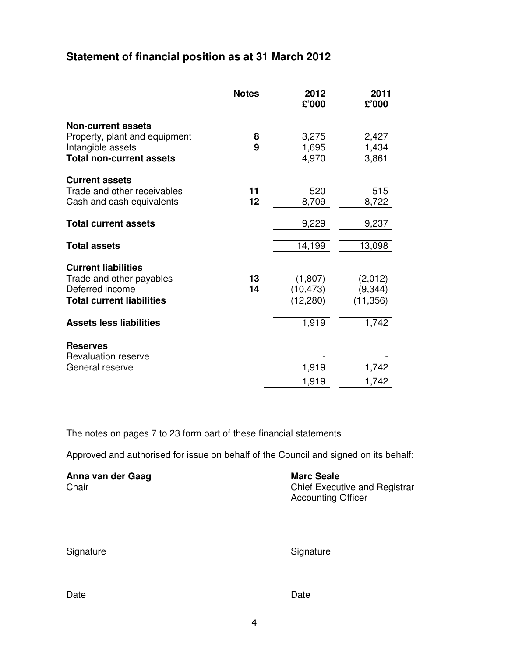# **Statement of financial position as at 31 March 2012**

|                                  | <b>Notes</b> | 2012<br>£'000 | 2011<br>£'000 |
|----------------------------------|--------------|---------------|---------------|
| <b>Non-current assets</b>        |              |               |               |
| Property, plant and equipment    | 8            | 3,275         | 2,427         |
| Intangible assets                | 9            | 1,695         | 1,434         |
| <b>Total non-current assets</b>  |              | 4,970         | 3,861         |
| <b>Current assets</b>            |              |               |               |
| Trade and other receivables      | 11           | 520           | 515           |
| Cash and cash equivalents        | 12           | 8,709         | 8,722         |
| <b>Total current assets</b>      |              | 9,229         | 9,237         |
| <b>Total assets</b>              |              | 14,199        | 13,098        |
| <b>Current liabilities</b>       |              |               |               |
| Trade and other payables         | 13           | (1,807)       | (2,012)       |
| Deferred income                  | 14           | (10,473)      | (9,344)       |
| <b>Total current liabilities</b> |              | (12, 280)     | (11, 356)     |
| <b>Assets less liabilities</b>   |              | 1,919         | 1,742         |
| <b>Reserves</b>                  |              |               |               |
| <b>Revaluation reserve</b>       |              |               |               |
| General reserve                  |              | 1,919         | 1,742         |
|                                  |              | 1,919         | 1,742         |

The notes on pages 7 to 23 form part of these financial statements

Approved and authorised for issue on behalf of the Council and signed on its behalf:

| Anna van der Gaag | <b>Marc Seale</b>                                                 |
|-------------------|-------------------------------------------------------------------|
| Chair             | <b>Chief Executive and Registrar</b><br><b>Accounting Officer</b> |

|  | Signature |  |
|--|-----------|--|
|  |           |  |

Signature Signature Signature Signature

Date **Date Date Date Date Date Date**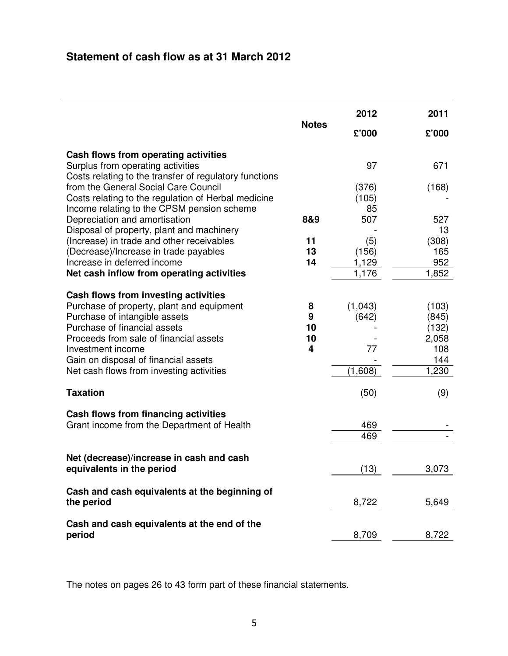# **Statement of cash flow as at 31 March 2012**

|                                                                                                                                                                                                                                                                                                       |                         | 2012                              | 2011                                                    |
|-------------------------------------------------------------------------------------------------------------------------------------------------------------------------------------------------------------------------------------------------------------------------------------------------------|-------------------------|-----------------------------------|---------------------------------------------------------|
|                                                                                                                                                                                                                                                                                                       | <b>Notes</b>            | £'000                             | £'000                                                   |
| Cash flows from operating activities<br>Surplus from operating activities<br>Costs relating to the transfer of regulatory functions                                                                                                                                                                   |                         | 97                                | 671                                                     |
| from the General Social Care Council<br>Costs relating to the regulation of Herbal medicine<br>Income relating to the CPSM pension scheme                                                                                                                                                             |                         | (376)<br>(105)<br>85              | (168)                                                   |
| Depreciation and amortisation<br>Disposal of property, plant and machinery                                                                                                                                                                                                                            | 8&9                     | 507                               | 527<br>13                                               |
| (Increase) in trade and other receivables<br>(Decrease)/Increase in trade payables<br>Increase in deferred income<br>Net cash inflow from operating activities                                                                                                                                        | 11<br>13<br>14          | (5)<br>(156)<br>1,129<br>1,176    | (308)<br>165<br>952<br>1,852                            |
| Cash flows from investing activities<br>Purchase of property, plant and equipment<br>Purchase of intangible assets<br>Purchase of financial assets<br>Proceeds from sale of financial assets<br>Investment income<br>Gain on disposal of financial assets<br>Net cash flows from investing activities | 8<br>9<br>10<br>10<br>4 | (1,043)<br>(642)<br>77<br>(1,608) | (103)<br>(845)<br>(132)<br>2,058<br>108<br>144<br>1,230 |
| <b>Taxation</b>                                                                                                                                                                                                                                                                                       |                         | (50)                              | (9)                                                     |
| Cash flows from financing activities<br>Grant income from the Department of Health                                                                                                                                                                                                                    |                         | 469<br>469                        |                                                         |
| Net (decrease)/increase in cash and cash<br>equivalents in the period                                                                                                                                                                                                                                 |                         | (13)                              | 3,073                                                   |
| Cash and cash equivalents at the beginning of<br>the period                                                                                                                                                                                                                                           |                         | 8,722                             | 5,649                                                   |
| Cash and cash equivalents at the end of the<br>period                                                                                                                                                                                                                                                 |                         | 8,709                             | 8,722                                                   |

The notes on pages 26 to 43 form part of these financial statements.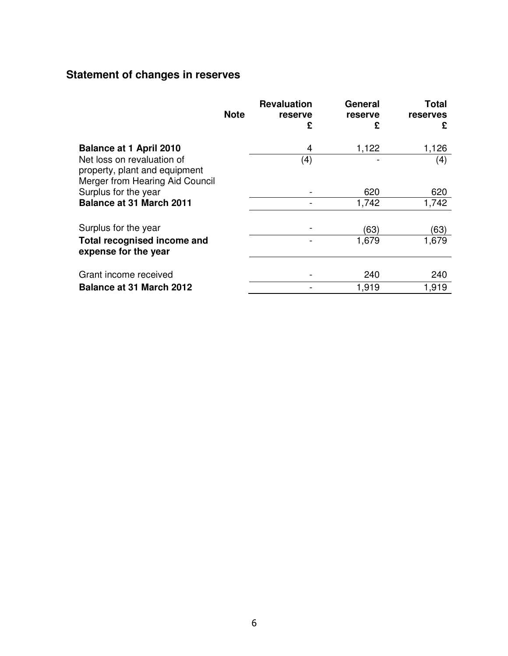# **Statement of changes in reserves**

|                                                                                                | <b>Note</b> | <b>Revaluation</b><br>reserve<br>£ | General<br>reserve<br>£ | Total<br>reserves<br>£ |
|------------------------------------------------------------------------------------------------|-------------|------------------------------------|-------------------------|------------------------|
| <b>Balance at 1 April 2010</b>                                                                 |             | 4                                  | 1,122                   | 1,126                  |
| Net loss on revaluation of<br>property, plant and equipment<br>Merger from Hearing Aid Council |             | (4)                                |                         | (4)                    |
| Surplus for the year                                                                           |             |                                    | 620                     | 620                    |
| <b>Balance at 31 March 2011</b>                                                                |             |                                    | 1,742                   | 1,742                  |
| Surplus for the year                                                                           |             |                                    | (63)                    | (63)                   |
| <b>Total recognised income and</b><br>expense for the year                                     |             |                                    | 1,679                   | 1,679                  |
| Grant income received                                                                          |             |                                    | 240                     | 240                    |
| <b>Balance at 31 March 2012</b>                                                                |             |                                    | 1,919                   | 1,919                  |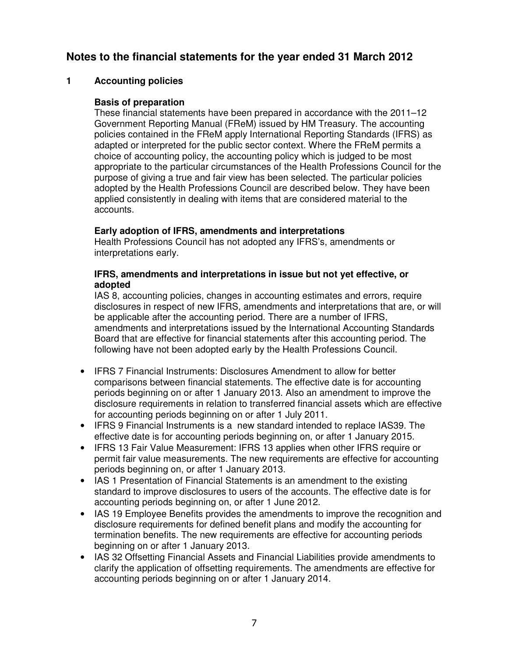# **Notes to the financial statements for the year ended 31 March 2012**

### **1 Accounting policies**

#### **Basis of preparation**

These financial statements have been prepared in accordance with the 2011–12 Government Reporting Manual (FReM) issued by HM Treasury. The accounting policies contained in the FReM apply International Reporting Standards (IFRS) as adapted or interpreted for the public sector context. Where the FReM permits a choice of accounting policy, the accounting policy which is judged to be most appropriate to the particular circumstances of the Health Professions Council for the purpose of giving a true and fair view has been selected. The particular policies adopted by the Health Professions Council are described below. They have been applied consistently in dealing with items that are considered material to the accounts.

#### **Early adoption of IFRS, amendments and interpretations**

Health Professions Council has not adopted any IFRS's, amendments or interpretations early.

#### **IFRS, amendments and interpretations in issue but not yet effective, or adopted**

IAS 8, accounting policies, changes in accounting estimates and errors, require disclosures in respect of new IFRS, amendments and interpretations that are, or will be applicable after the accounting period. There are a number of IFRS, amendments and interpretations issued by the International Accounting Standards Board that are effective for financial statements after this accounting period. The following have not been adopted early by the Health Professions Council.

- IFRS 7 Financial Instruments: Disclosures Amendment to allow for better comparisons between financial statements. The effective date is for accounting periods beginning on or after 1 January 2013. Also an amendment to improve the disclosure requirements in relation to transferred financial assets which are effective for accounting periods beginning on or after 1 July 2011.
- IFRS 9 Financial Instruments is a new standard intended to replace IAS39. The effective date is for accounting periods beginning on, or after 1 January 2015.
- IFRS 13 Fair Value Measurement: IFRS 13 applies when other IFRS require or permit fair value measurements. The new requirements are effective for accounting periods beginning on, or after 1 January 2013.
- IAS 1 Presentation of Financial Statements is an amendment to the existing standard to improve disclosures to users of the accounts. The effective date is for accounting periods beginning on, or after 1 June 2012.
- IAS 19 Employee Benefits provides the amendments to improve the recognition and disclosure requirements for defined benefit plans and modify the accounting for termination benefits. The new requirements are effective for accounting periods beginning on or after 1 January 2013.
- IAS 32 Offsetting Financial Assets and Financial Liabilities provide amendments to clarify the application of offsetting requirements. The amendments are effective for accounting periods beginning on or after 1 January 2014.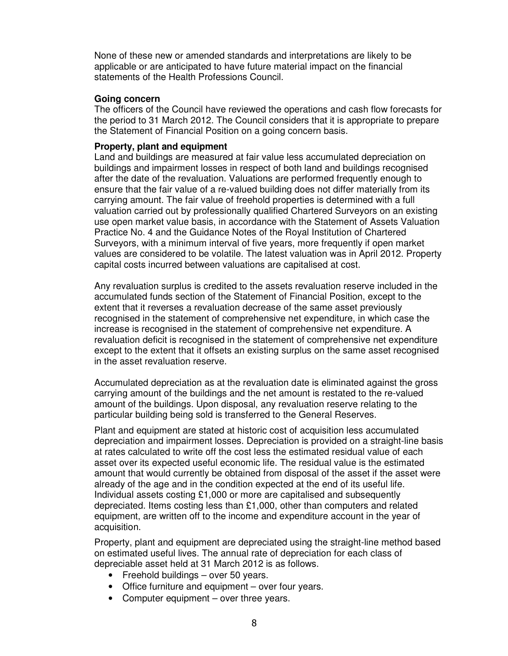None of these new or amended standards and interpretations are likely to be applicable or are anticipated to have future material impact on the financial statements of the Health Professions Council.

#### **Going concern**

The officers of the Council have reviewed the operations and cash flow forecasts for the period to 31 March 2012. The Council considers that it is appropriate to prepare the Statement of Financial Position on a going concern basis.

#### **Property, plant and equipment**

Land and buildings are measured at fair value less accumulated depreciation on buildings and impairment losses in respect of both land and buildings recognised after the date of the revaluation. Valuations are performed frequently enough to ensure that the fair value of a re-valued building does not differ materially from its carrying amount. The fair value of freehold properties is determined with a full valuation carried out by professionally qualified Chartered Surveyors on an existing use open market value basis, in accordance with the Statement of Assets Valuation Practice No. 4 and the Guidance Notes of the Royal Institution of Chartered Surveyors, with a minimum interval of five years, more frequently if open market values are considered to be volatile. The latest valuation was in April 2012. Property capital costs incurred between valuations are capitalised at cost.

Any revaluation surplus is credited to the assets revaluation reserve included in the accumulated funds section of the Statement of Financial Position, except to the extent that it reverses a revaluation decrease of the same asset previously recognised in the statement of comprehensive net expenditure, in which case the increase is recognised in the statement of comprehensive net expenditure. A revaluation deficit is recognised in the statement of comprehensive net expenditure except to the extent that it offsets an existing surplus on the same asset recognised in the asset revaluation reserve.

Accumulated depreciation as at the revaluation date is eliminated against the gross carrying amount of the buildings and the net amount is restated to the re-valued amount of the buildings. Upon disposal, any revaluation reserve relating to the particular building being sold is transferred to the General Reserves.

Plant and equipment are stated at historic cost of acquisition less accumulated depreciation and impairment losses. Depreciation is provided on a straight-line basis at rates calculated to write off the cost less the estimated residual value of each asset over its expected useful economic life. The residual value is the estimated amount that would currently be obtained from disposal of the asset if the asset were already of the age and in the condition expected at the end of its useful life. Individual assets costing £1,000 or more are capitalised and subsequently depreciated. Items costing less than £1,000, other than computers and related equipment, are written off to the income and expenditure account in the year of acquisition.

Property, plant and equipment are depreciated using the straight-line method based on estimated useful lives. The annual rate of depreciation for each class of depreciable asset held at 31 March 2012 is as follows.

- Freehold buildings over 50 years.
- Office furniture and equipment over four years.
- Computer equipment over three years.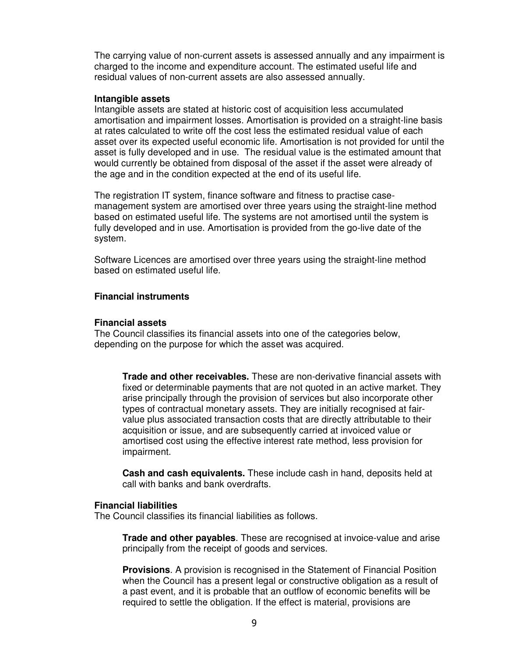The carrying value of non-current assets is assessed annually and any impairment is charged to the income and expenditure account. The estimated useful life and residual values of non-current assets are also assessed annually.

#### **Intangible assets**

Intangible assets are stated at historic cost of acquisition less accumulated amortisation and impairment losses. Amortisation is provided on a straight-line basis at rates calculated to write off the cost less the estimated residual value of each asset over its expected useful economic life. Amortisation is not provided for until the asset is fully developed and in use. The residual value is the estimated amount that would currently be obtained from disposal of the asset if the asset were already of the age and in the condition expected at the end of its useful life.

The registration IT system, finance software and fitness to practise casemanagement system are amortised over three years using the straight-line method based on estimated useful life. The systems are not amortised until the system is fully developed and in use. Amortisation is provided from the go-live date of the system.

Software Licences are amortised over three years using the straight-line method based on estimated useful life.

#### **Financial instruments**

#### **Financial assets**

The Council classifies its financial assets into one of the categories below, depending on the purpose for which the asset was acquired.

**Trade and other receivables.** These are non-derivative financial assets with fixed or determinable payments that are not quoted in an active market. They arise principally through the provision of services but also incorporate other types of contractual monetary assets. They are initially recognised at fairvalue plus associated transaction costs that are directly attributable to their acquisition or issue, and are subsequently carried at invoiced value or amortised cost using the effective interest rate method, less provision for impairment.

**Cash and cash equivalents.** These include cash in hand, deposits held at call with banks and bank overdrafts.

#### **Financial liabilities**

The Council classifies its financial liabilities as follows.

**Trade and other payables**. These are recognised at invoice-value and arise principally from the receipt of goods and services.

**Provisions**. A provision is recognised in the Statement of Financial Position when the Council has a present legal or constructive obligation as a result of a past event, and it is probable that an outflow of economic benefits will be required to settle the obligation. If the effect is material, provisions are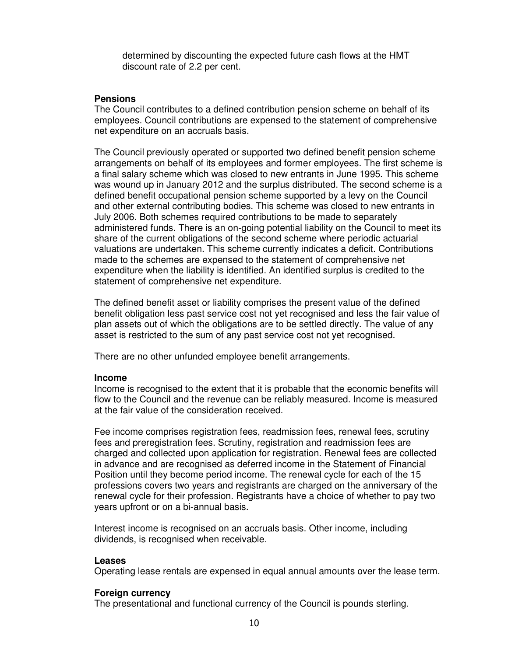determined by discounting the expected future cash flows at the HMT discount rate of 2.2 per cent.

#### **Pensions**

The Council contributes to a defined contribution pension scheme on behalf of its employees. Council contributions are expensed to the statement of comprehensive net expenditure on an accruals basis.

The Council previously operated or supported two defined benefit pension scheme arrangements on behalf of its employees and former employees. The first scheme is a final salary scheme which was closed to new entrants in June 1995. This scheme was wound up in January 2012 and the surplus distributed. The second scheme is a defined benefit occupational pension scheme supported by a levy on the Council and other external contributing bodies. This scheme was closed to new entrants in July 2006. Both schemes required contributions to be made to separately administered funds. There is an on-going potential liability on the Council to meet its share of the current obligations of the second scheme where periodic actuarial valuations are undertaken. This scheme currently indicates a deficit. Contributions made to the schemes are expensed to the statement of comprehensive net expenditure when the liability is identified. An identified surplus is credited to the statement of comprehensive net expenditure.

The defined benefit asset or liability comprises the present value of the defined benefit obligation less past service cost not yet recognised and less the fair value of plan assets out of which the obligations are to be settled directly. The value of any asset is restricted to the sum of any past service cost not yet recognised.

There are no other unfunded employee benefit arrangements.

#### **Income**

Income is recognised to the extent that it is probable that the economic benefits will flow to the Council and the revenue can be reliably measured. Income is measured at the fair value of the consideration received.

Fee income comprises registration fees, readmission fees, renewal fees, scrutiny fees and preregistration fees. Scrutiny, registration and readmission fees are charged and collected upon application for registration. Renewal fees are collected in advance and are recognised as deferred income in the Statement of Financial Position until they become period income. The renewal cycle for each of the 15 professions covers two years and registrants are charged on the anniversary of the renewal cycle for their profession. Registrants have a choice of whether to pay two years upfront or on a bi-annual basis.

Interest income is recognised on an accruals basis. Other income, including dividends, is recognised when receivable.

#### **Leases**

Operating lease rentals are expensed in equal annual amounts over the lease term.

#### **Foreign currency**

The presentational and functional currency of the Council is pounds sterling.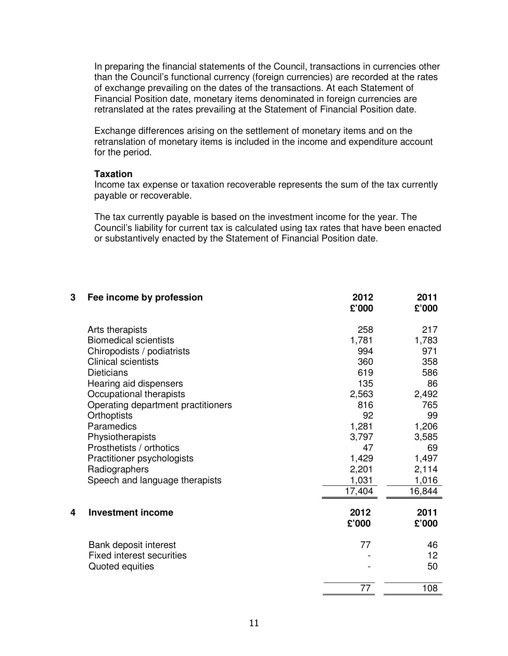In preparing the financial statements of the Council, transactions in currencies other than the Council's functional currency (foreign currencies) are recorded at the rates of exchange prevailing on the dates of the transactions. At each Statement of Financial Position date, monetary items denominated in foreign currencies are retranslated at the rates prevailing at the Statement of Financial Position date.

Exchange differences arising on the settlement of monetary items and on the retranslation of monetary items is included in the income and expenditure account for the period.

#### **Taxation**

Income tax expense or taxation recoverable represents the sum of the tax currently payable or recoverable.

The tax currently payable is based on the investment income for the year. The Council's liability for current tax is calculated using tax rates that have been enacted or substantively enacted by the Statement of Financial Position date.

| 3 | Fee income by profession           | 2012<br>£'000 | 2011<br>£'000   |
|---|------------------------------------|---------------|-----------------|
|   | Arts therapists                    | 258           | 217             |
|   | <b>Biomedical scientists</b>       | 1,781         | 1,783           |
|   | Chiropodists / podiatrists         | 994           | 971             |
|   | <b>Clinical scientists</b>         | 360           | 358             |
|   | <b>Dieticians</b>                  | 619           | 586             |
|   | Hearing aid dispensers             | 135           | 86              |
|   | Occupational therapists            | 2,563         | 2,492           |
|   | Operating department practitioners | 816           | 765             |
|   | Orthoptists                        | 92            | 99              |
|   | Paramedics                         | 1,281         | 1,206           |
|   | Physiotherapists                   | 3,797         | 3,585           |
|   | Prosthetists / orthotics           | 47            | 69              |
|   | Practitioner psychologists         | 1,429         | 1,497           |
|   | Radiographers                      | 2,201         | 2,114           |
|   | Speech and language therapists     | 1,031         | 1,016           |
|   |                                    | 17,404        | 16,844          |
| 4 | <b>Investment income</b>           | 2012          | 2011            |
|   |                                    | £'000         | £'000           |
|   | Bank deposit interest              | 77            | 46              |
|   | <b>Fixed interest securities</b>   |               | 12 <sub>2</sub> |
|   | Quoted equities                    |               | 50              |
|   |                                    | 77            | 108             |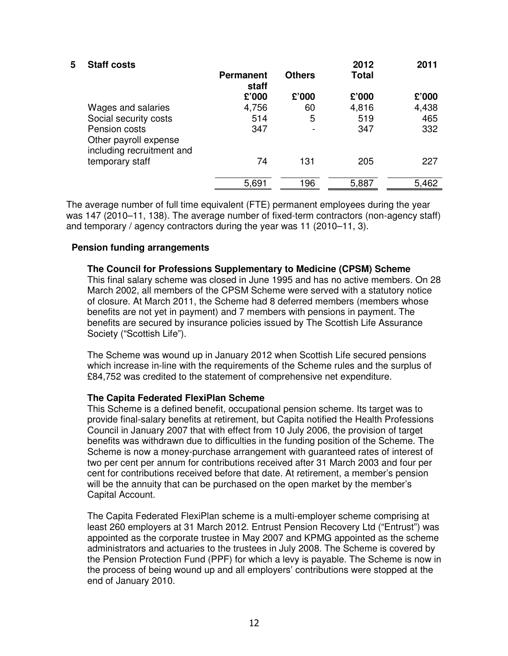| 5 | <b>Staff costs</b>                                                    | <b>Permanent</b>    | <b>Others</b> | 2012<br><b>Total</b> | 2011                |
|---|-----------------------------------------------------------------------|---------------------|---------------|----------------------|---------------------|
|   |                                                                       | staff<br>£'000      | £'000         | £'000                | £'000               |
|   | Wages and salaries<br>Social security costs<br>Pension costs          | 4,756<br>514<br>347 | 60<br>5       | 4,816<br>519<br>347  | 4,438<br>465<br>332 |
|   | Other payroll expense<br>including recruitment and<br>temporary staff | 74                  | 131           | 205                  | 227                 |
|   |                                                                       | 5,691               | 196           | 5,887                | 5,462               |

The average number of full time equivalent (FTE) permanent employees during the year was 147 (2010–11, 138). The average number of fixed-term contractors (non-agency staff) and temporary / agency contractors during the year was 11 (2010–11, 3).

#### **Pension funding arrangements**

**The Council for Professions Supplementary to Medicine (CPSM) Scheme**  This final salary scheme was closed in June 1995 and has no active members. On 28 March 2002, all members of the CPSM Scheme were served with a statutory notice of closure. At March 2011, the Scheme had 8 deferred members (members whose benefits are not yet in payment) and 7 members with pensions in payment. The benefits are secured by insurance policies issued by The Scottish Life Assurance Society ("Scottish Life").

The Scheme was wound up in January 2012 when Scottish Life secured pensions which increase in-line with the requirements of the Scheme rules and the surplus of £84,752 was credited to the statement of comprehensive net expenditure.

#### **The Capita Federated FlexiPlan Scheme**

This Scheme is a defined benefit, occupational pension scheme. Its target was to provide final-salary benefits at retirement, but Capita notified the Health Professions Council in January 2007 that with effect from 10 July 2006, the provision of target benefits was withdrawn due to difficulties in the funding position of the Scheme. The Scheme is now a money-purchase arrangement with guaranteed rates of interest of two per cent per annum for contributions received after 31 March 2003 and four per cent for contributions received before that date. At retirement, a member's pension will be the annuity that can be purchased on the open market by the member's Capital Account.

The Capita Federated FlexiPlan scheme is a multi-employer scheme comprising at least 260 employers at 31 March 2012. Entrust Pension Recovery Ltd ("Entrust") was appointed as the corporate trustee in May 2007 and KPMG appointed as the scheme administrators and actuaries to the trustees in July 2008. The Scheme is covered by the Pension Protection Fund (PPF) for which a levy is payable. The Scheme is now in the process of being wound up and all employers' contributions were stopped at the end of January 2010.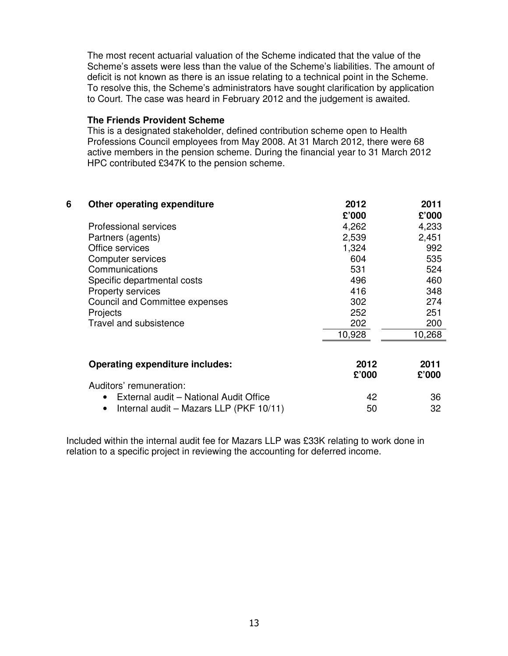The most recent actuarial valuation of the Scheme indicated that the value of the Scheme's assets were less than the value of the Scheme's liabilities. The amount of deficit is not known as there is an issue relating to a technical point in the Scheme. To resolve this, the Scheme's administrators have sought clarification by application to Court. The case was heard in February 2012 and the judgement is awaited.

#### **The Friends Provident Scheme**

This is a designated stakeholder, defined contribution scheme open to Health Professions Council employees from May 2008. At 31 March 2012, there were 68 active members in the pension scheme. During the financial year to 31 March 2012 HPC contributed £347K to the pension scheme.

| 6 | Other operating expenditure                         | 2012   | 2011   |
|---|-----------------------------------------------------|--------|--------|
|   |                                                     | £'000  | £'000  |
|   | <b>Professional services</b>                        | 4,262  | 4,233  |
|   | Partners (agents)                                   | 2,539  | 2,451  |
|   | Office services                                     | 1,324  | 992    |
|   | Computer services                                   | 604    | 535    |
|   | Communications                                      | 531    | 524    |
|   | Specific departmental costs                         | 496    | 460    |
|   | Property services                                   | 416    | 348    |
|   | <b>Council and Committee expenses</b>               | 302    | 274    |
|   | Projects                                            | 252    | 251    |
|   | Travel and subsistence                              | 202    | 200    |
|   |                                                     | 10,928 | 10,268 |
|   |                                                     |        |        |
|   | <b>Operating expenditure includes:</b>              | 2012   | 2011   |
|   |                                                     | £'000  | £'000  |
|   | Auditors' remuneration:                             |        |        |
|   | External audit - National Audit Office<br>$\bullet$ | 42     | 36     |
|   | Internal audit - Mazars LLP (PKF 10/11)             | 50     | 32     |

Included within the internal audit fee for Mazars LLP was £33K relating to work done in relation to a specific project in reviewing the accounting for deferred income.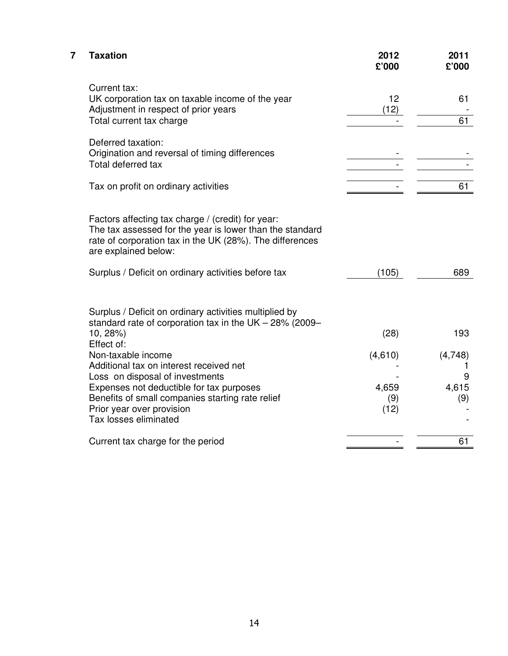| 7 | <b>Taxation</b>                                                                                                                                                                                   | 2012<br>£'000 | 2011<br>£'000 |
|---|---------------------------------------------------------------------------------------------------------------------------------------------------------------------------------------------------|---------------|---------------|
|   | Current tax:<br>UK corporation tax on taxable income of the year<br>Adjustment in respect of prior years<br>Total current tax charge                                                              | 12<br>(12)    | 61<br>61      |
|   | Deferred taxation:<br>Origination and reversal of timing differences<br>Total deferred tax                                                                                                        |               |               |
|   | Tax on profit on ordinary activities                                                                                                                                                              |               | 61            |
|   | Factors affecting tax charge / (credit) for year:<br>The tax assessed for the year is lower than the standard<br>rate of corporation tax in the UK (28%). The differences<br>are explained below: |               |               |
|   | Surplus / Deficit on ordinary activities before tax                                                                                                                                               | (105)         | 689           |
|   | Surplus / Deficit on ordinary activities multiplied by<br>standard rate of corporation tax in the UK $-$ 28% (2009 $-$<br>$10, 28\%)$                                                             | (28)          | 193           |
|   | Effect of:                                                                                                                                                                                        |               |               |
|   | Non-taxable income                                                                                                                                                                                | (4,610)       | (4,748)       |
|   | Additional tax on interest received net                                                                                                                                                           |               |               |
|   | Loss on disposal of investments                                                                                                                                                                   |               | 9             |
|   | Expenses not deductible for tax purposes                                                                                                                                                          | 4,659         | 4,615         |
|   | Benefits of small companies starting rate relief<br>Prior year over provision                                                                                                                     | (9)<br>(12)   | (9)           |
|   | Tax losses eliminated                                                                                                                                                                             |               |               |
|   | Current tax charge for the period                                                                                                                                                                 |               | 61            |
|   |                                                                                                                                                                                                   |               |               |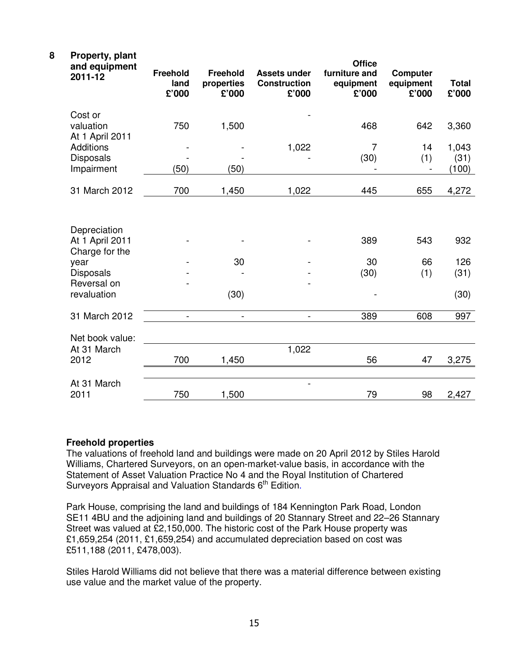| 8<br>Property, plant<br>and equipment<br>2011-12                                                            | <b>Freehold</b><br>land<br>£'000 | <b>Freehold</b><br>properties<br>£'000 | <b>Assets under</b><br><b>Construction</b><br>£'000 | <b>Office</b><br>furniture and<br>equipment<br>£'000 | <b>Computer</b><br>equipment<br>£'000 | <b>Total</b><br>£'000      |
|-------------------------------------------------------------------------------------------------------------|----------------------------------|----------------------------------------|-----------------------------------------------------|------------------------------------------------------|---------------------------------------|----------------------------|
| Cost or<br>valuation<br>At 1 April 2011                                                                     | 750                              | 1,500                                  |                                                     | 468                                                  | 642                                   | 3,360                      |
| <b>Additions</b><br><b>Disposals</b><br>Impairment                                                          | (50)                             | (50)                                   | 1,022                                               | $\overline{7}$<br>(30)                               | 14<br>(1)                             | 1,043<br>(31)<br>(100)     |
| 31 March 2012                                                                                               | 700                              | 1,450                                  | 1,022                                               | 445                                                  | 655                                   | 4,272                      |
| Depreciation<br>At 1 April 2011<br>Charge for the<br>year<br><b>Disposals</b><br>Reversal on<br>revaluation |                                  | 30<br>(30)                             |                                                     | 389<br>30<br>(30)                                    | 543<br>66<br>(1)                      | 932<br>126<br>(31)<br>(30) |
| 31 March 2012                                                                                               |                                  |                                        | $\blacksquare$                                      | 389                                                  | 608                                   | 997                        |
| Net book value:<br>At 31 March<br>2012                                                                      | 700                              | 1,450                                  | 1,022                                               | 56                                                   | 47                                    | 3,275                      |
| At 31 March<br>2011                                                                                         | 750                              | 1,500                                  |                                                     | 79                                                   | 98                                    | 2,427                      |

#### **Freehold properties**

The valuations of freehold land and buildings were made on 20 April 2012 by Stiles Harold Williams, Chartered Surveyors, on an open-market-value basis, in accordance with the Statement of Asset Valuation Practice No 4 and the Royal Institution of Chartered Surveyors Appraisal and Valuation Standards 6<sup>th</sup> Edition.

Park House, comprising the land and buildings of 184 Kennington Park Road, London SE11 4BU and the adjoining land and buildings of 20 Stannary Street and 22–26 Stannary Street was valued at £2,150,000. The historic cost of the Park House property was £1,659,254 (2011, £1,659,254) and accumulated depreciation based on cost was £511,188 (2011, £478,003).

Stiles Harold Williams did not believe that there was a material difference between existing use value and the market value of the property.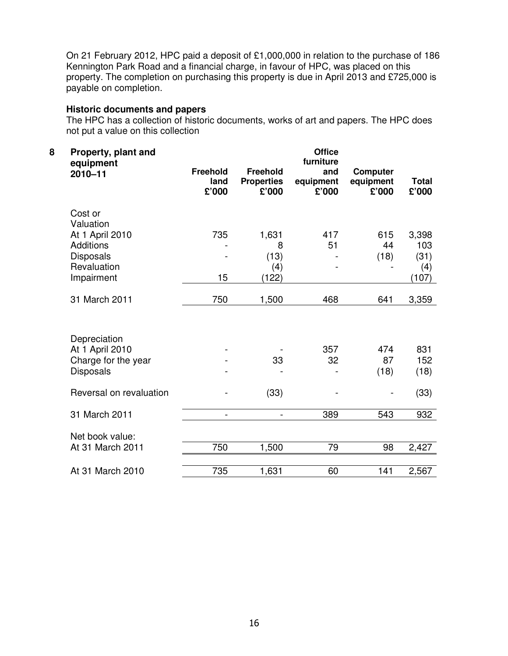On 21 February 2012, HPC paid a deposit of £1,000,000 in relation to the purchase of 186 Kennington Park Road and a financial charge, in favour of HPC, was placed on this property. The completion on purchasing this property is due in April 2013 and £725,000 is payable on completion.

#### **Historic documents and papers**

The HPC has a collection of historic documents, works of art and papers. The HPC does not put a value on this collection

| 8 | Property, plant and<br>equipment<br>$2010 - 11$ | <b>Freehold</b><br>land<br>£'000 | <b>Freehold</b><br><b>Properties</b><br>£'000 | <b>Office</b><br>furniture<br>and<br>equipment<br>£'000 | <b>Computer</b><br>equipment<br>£'000 | <b>Total</b><br>£'000 |
|---|-------------------------------------------------|----------------------------------|-----------------------------------------------|---------------------------------------------------------|---------------------------------------|-----------------------|
|   | Cost or                                         |                                  |                                               |                                                         |                                       |                       |
|   | Valuation                                       |                                  |                                               |                                                         |                                       |                       |
|   | At 1 April 2010                                 | 735                              | 1,631                                         | 417                                                     | 615                                   | 3,398                 |
|   | <b>Additions</b>                                |                                  | 8                                             | 51                                                      | 44                                    | 103                   |
|   | <b>Disposals</b>                                |                                  | (13)                                          |                                                         | (18)                                  | (31)                  |
|   | Revaluation                                     |                                  | (4)                                           |                                                         |                                       | (4)                   |
|   | Impairment                                      | 15                               | (122)                                         |                                                         |                                       | (107)                 |
|   | 31 March 2011                                   | 750                              | 1,500                                         | 468                                                     | 641                                   | 3,359                 |
|   |                                                 |                                  |                                               |                                                         |                                       |                       |
|   | Depreciation                                    |                                  |                                               |                                                         |                                       |                       |
|   | At 1 April 2010                                 |                                  |                                               | 357                                                     | 474                                   | 831                   |
|   | Charge for the year                             |                                  | 33                                            | 32                                                      | 87                                    | 152                   |
|   | <b>Disposals</b>                                |                                  |                                               |                                                         | (18)                                  | (18)                  |
|   | Reversal on revaluation                         |                                  | (33)                                          |                                                         |                                       | (33)                  |
|   | 31 March 2011                                   | $\overline{\phantom{a}}$         | $\overline{\phantom{a}}$                      | 389                                                     | 543                                   | 932                   |
|   | Net book value:                                 |                                  |                                               |                                                         |                                       |                       |
|   | At 31 March 2011                                | 750                              | 1,500                                         | 79                                                      | 98                                    | 2,427                 |
|   |                                                 |                                  |                                               |                                                         |                                       |                       |
|   | At 31 March 2010                                | 735                              | 1,631                                         | 60                                                      | 141                                   | 2,567                 |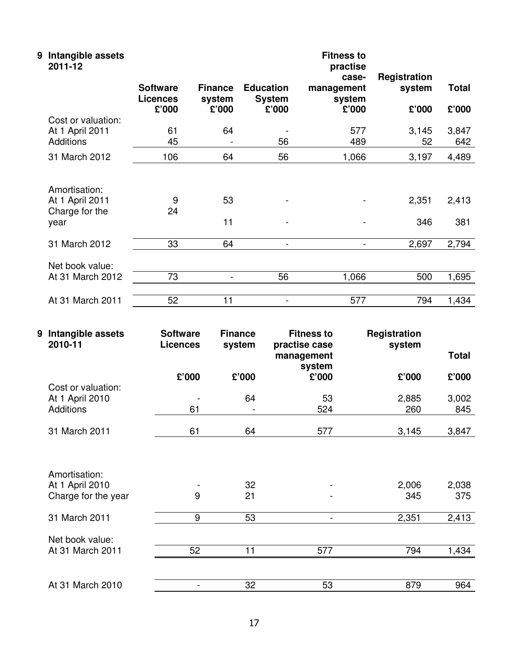| 9 | Intangible assets<br>2011-12                               |                                             |                                   |                                            |                                        |                                 |                |
|---|------------------------------------------------------------|---------------------------------------------|-----------------------------------|--------------------------------------------|----------------------------------------|---------------------------------|----------------|
|   |                                                            | <b>Software</b><br><b>Licences</b><br>£'000 | <b>Finance</b><br>system<br>£'000 | <b>Education</b><br><b>System</b><br>£'000 | case-<br>management<br>system<br>£'000 | Registration<br>system<br>£'000 | Total<br>£'000 |
|   | Cost or valuation:<br>At 1 April 2011<br>Additions         | 61<br>45                                    | 64                                | 56                                         | 577<br>489                             | 3,145<br>52                     | 3,847<br>642   |
|   | 31 March 2012                                              | 106                                         | 64                                | 56                                         | 1,066                                  | 3,197                           | 4,489          |
|   | Amortisation:<br>At 1 April 2011<br>Charge for the<br>year | 9<br>24                                     | 53<br>11                          |                                            |                                        | 2,351<br>346                    | 2,413<br>381   |
|   | 31 March 2012                                              | 33                                          | 64                                | $\overline{\phantom{a}}$                   |                                        | 2,697                           | 2,794          |
|   | Net book value:<br>At 31 March 2012                        | 73                                          | -                                 | 56                                         | 1,066                                  | 500                             | 1,695          |
|   | At 31 March 2011                                           | 52                                          | 11                                |                                            | 577                                    | 794                             | 1,434          |

| 9 | Intangible assets<br>2010-11 | <b>Software</b><br><b>Licences</b> | <b>Finance</b><br>system | <b>Fitness to</b><br>practise case | Registration<br>system |              |
|---|------------------------------|------------------------------------|--------------------------|------------------------------------|------------------------|--------------|
|   |                              |                                    |                          | management<br>system               |                        | <b>Total</b> |
|   |                              | £'000                              | £'000                    | £'000                              | £'000                  | £'000        |
|   | Cost or valuation:           |                                    |                          |                                    |                        |              |
|   | At 1 April 2010              |                                    | 64                       | 53                                 | 2,885                  | 3,002        |
|   | Additions                    | 61                                 |                          | 524                                | 260                    | 845          |
|   | 31 March 2011                | 61                                 | 64                       | 577                                | 3,145                  | 3,847        |
|   |                              |                                    |                          |                                    |                        |              |
|   | Amortisation:                |                                    |                          |                                    |                        |              |
|   | At 1 April 2010              |                                    | 32                       |                                    | 2,006                  | 2,038        |
|   | Charge for the year          | 9                                  | 21                       |                                    | 345                    | 375          |
|   | 31 March 2011                | 9                                  | 53                       | -                                  | 2,351                  | 2,413        |
|   | Net book value:              |                                    |                          |                                    |                        |              |
|   | At 31 March 2011             | 52                                 | 11                       | 577                                | 794                    | 1,434        |
|   |                              |                                    |                          |                                    |                        |              |
|   | At 31 March 2010             |                                    | 32                       | 53                                 | 879                    | 964          |
|   |                              |                                    |                          |                                    |                        |              |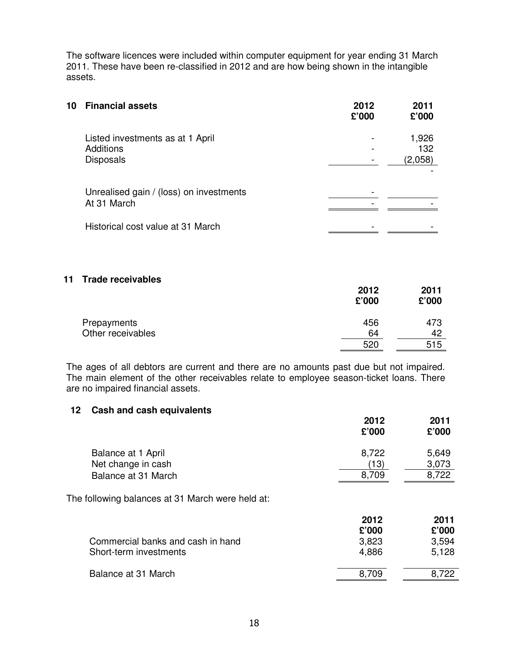The software licences were included within computer equipment for year ending 31 March 2011. These have been re-classified in 2012 and are how being shown in the intangible assets.

| 10 | <b>Financial assets</b>                                                  | 2012<br>£'000 | 2011<br>£'000           |
|----|--------------------------------------------------------------------------|---------------|-------------------------|
|    | Listed investments as at 1 April<br><b>Additions</b><br><b>Disposals</b> |               | 1,926<br>132<br>(2,058) |
|    | Unrealised gain / (loss) on investments<br>At 31 March                   |               |                         |
|    | Historical cost value at 31 March                                        |               |                         |

#### **11 Trade receivables**

|                   | 2012<br>£'000 | 2011<br>£'000 |
|-------------------|---------------|---------------|
| Prepayments       | 456           | 473           |
| Other receivables | 64            | 42            |
|                   | 520           | 515           |

The ages of all debtors are current and there are no amounts past due but not impaired. The main element of the other receivables relate to employee season-ticket loans. There are no impaired financial assets.

#### **12 Cash and cash equivalents**

|                                                  | 2012<br>£'000 | 2011<br>£'000  |
|--------------------------------------------------|---------------|----------------|
| Balance at 1 April<br>Net change in cash         | 8,722<br>(13) | 5,649<br>3,073 |
| Balance at 31 March                              | 8,709         | 8,722          |
| The following balances at 31 March were held at: |               |                |
|                                                  | 2012<br>£'000 | 2011<br>£'000  |
| Commercial banks and cash in hand                | 3,823         | 3,594          |
| Short-term investments                           | 4,886         | 5,128          |
| Balance at 31 March                              | 8,709         | 8,722          |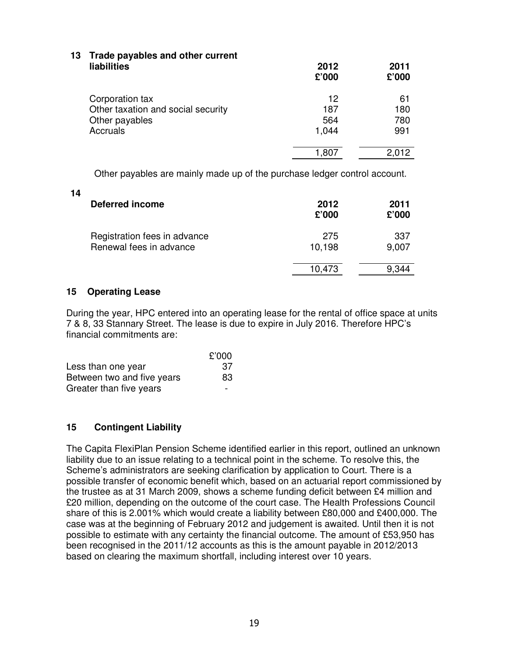| 13 Trade payables and other current<br><b>liabilities</b> | 2012<br>£'000 | 2011<br>£'000 |
|-----------------------------------------------------------|---------------|---------------|
| Corporation tax                                           | 12            | 61            |
| Other taxation and social security                        | 187           | 180           |
| Other payables                                            | 564           | 780           |
| Accruals                                                  | 1,044         | 991           |
|                                                           | 1,807         | 2.012         |
|                                                           |               |               |

Other payables are mainly made up of the purchase ledger control account.

**14** 

| <b>Deferred income</b>                                  | 2012<br>£'000 | 2011<br>£'000 |
|---------------------------------------------------------|---------------|---------------|
| Registration fees in advance<br>Renewal fees in advance | 275<br>10,198 | 337<br>9,007  |
|                                                         | 10,473        | 9.344         |

#### **15 Operating Lease**

During the year, HPC entered into an operating lease for the rental of office space at units 7 & 8, 33 Stannary Street. The lease is due to expire in July 2016. Therefore HPC's financial commitments are:

|                            | £'000 |
|----------------------------|-------|
| Less than one year         | 37    |
| Between two and five years | 83.   |
| Greater than five years    |       |

## **15 Contingent Liability**

The Capita FlexiPlan Pension Scheme identified earlier in this report, outlined an unknown liability due to an issue relating to a technical point in the scheme. To resolve this, the Scheme's administrators are seeking clarification by application to Court. There is a possible transfer of economic benefit which, based on an actuarial report commissioned by the trustee as at 31 March 2009, shows a scheme funding deficit between £4 million and £20 million, depending on the outcome of the court case. The Health Professions Council share of this is 2.001% which would create a liability between £80,000 and £400,000. The case was at the beginning of February 2012 and judgement is awaited. Until then it is not possible to estimate with any certainty the financial outcome. The amount of £53,950 has been recognised in the 2011/12 accounts as this is the amount payable in 2012/2013 based on clearing the maximum shortfall, including interest over 10 years.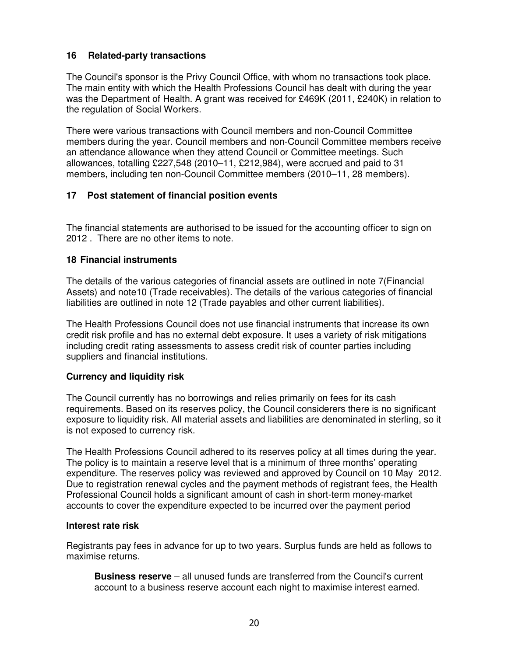#### **16 Related-party transactions**

The Council's sponsor is the Privy Council Office, with whom no transactions took place. The main entity with which the Health Professions Council has dealt with during the year was the Department of Health. A grant was received for £469K (2011, £240K) in relation to the regulation of Social Workers.

There were various transactions with Council members and non-Council Committee members during the year. Council members and non-Council Committee members receive an attendance allowance when they attend Council or Committee meetings. Such allowances, totalling  $£227,548$  (2010–11, £212,984), were accrued and paid to 31 members, including ten non-Council Committee members (2010–11, 28 members).

#### **17 Post statement of financial position events**

The financial statements are authorised to be issued for the accounting officer to sign on 2012 . There are no other items to note.

#### **18 Financial instruments**

The details of the various categories of financial assets are outlined in note 7(Financial Assets) and note10 (Trade receivables). The details of the various categories of financial liabilities are outlined in note 12 (Trade payables and other current liabilities).

The Health Professions Council does not use financial instruments that increase its own credit risk profile and has no external debt exposure. It uses a variety of risk mitigations including credit rating assessments to assess credit risk of counter parties including suppliers and financial institutions.

#### **Currency and liquidity risk**

The Council currently has no borrowings and relies primarily on fees for its cash requirements. Based on its reserves policy, the Council considerers there is no significant exposure to liquidity risk. All material assets and liabilities are denominated in sterling, so it is not exposed to currency risk.

The Health Professions Council adhered to its reserves policy at all times during the year. The policy is to maintain a reserve level that is a minimum of three months' operating expenditure. The reserves policy was reviewed and approved by Council on 10 May 2012. Due to registration renewal cycles and the payment methods of registrant fees, the Health Professional Council holds a significant amount of cash in short-term money-market accounts to cover the expenditure expected to be incurred over the payment period

#### **Interest rate risk**

Registrants pay fees in advance for up to two years. Surplus funds are held as follows to maximise returns.

**Business reserve** – all unused funds are transferred from the Council's current account to a business reserve account each night to maximise interest earned.